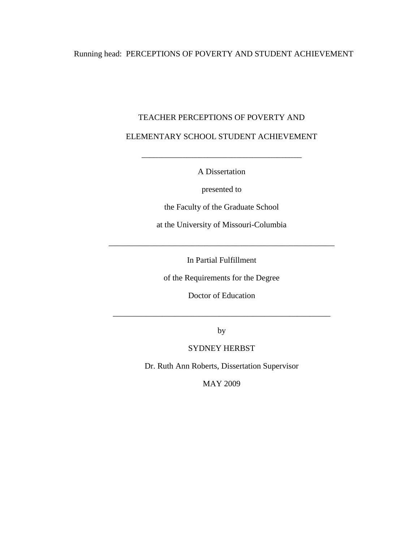## Running head: PERCEPTIONS OF POVERTY AND STUDENT ACHIEVEMENT

# TEACHER PERCEPTIONS OF POVERTY AND ELEMENTARY SCHOOL STUDENT ACHIEVEMENT

A Dissertation

\_\_\_\_\_\_\_\_\_\_\_\_\_\_\_\_\_\_\_\_\_\_\_\_\_\_\_\_\_\_\_\_\_\_\_\_\_\_\_

presented to

the Faculty of the Graduate School

at the University of Missouri-Columbia

In Partial Fulfillment

\_\_\_\_\_\_\_\_\_\_\_\_\_\_\_\_\_\_\_\_\_\_\_\_\_\_\_\_\_\_\_\_\_\_\_\_\_\_\_\_\_\_\_\_\_\_\_\_\_\_\_\_\_\_\_

of the Requirements for the Degree

Doctor of Education

by

\_\_\_\_\_\_\_\_\_\_\_\_\_\_\_\_\_\_\_\_\_\_\_\_\_\_\_\_\_\_\_\_\_\_\_\_\_\_\_\_\_\_\_\_\_\_\_\_\_\_\_\_\_

### SYDNEY HERBST

Dr. Ruth Ann Roberts, Dissertation Supervisor

MAY 2009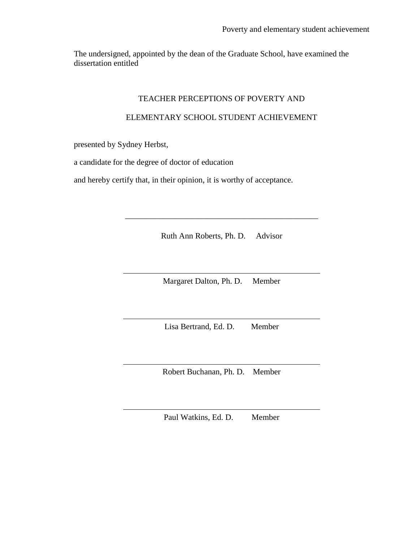The undersigned, appointed by the dean of the Graduate School, have examined the dissertation entitled

#### TEACHER PERCEPTIONS OF POVERTY AND

#### ELEMENTARY SCHOOL STUDENT ACHIEVEMENT

presented by Sydney Herbst,

a candidate for the degree of doctor of education

and hereby certify that, in their opinion, it is worthy of acceptance.

Ruth Ann Roberts, Ph. D. Advisor

\_\_\_\_\_\_\_\_\_\_\_\_\_\_\_\_\_\_\_\_\_\_\_\_\_\_\_\_\_\_\_\_\_\_\_\_\_\_\_\_\_\_\_\_\_\_\_

Margaret Dalton, Ph. D. Member

Lisa Bertrand, Ed. D. Member

Robert Buchanan, Ph. D. Member

Paul Watkins, Ed. D. Member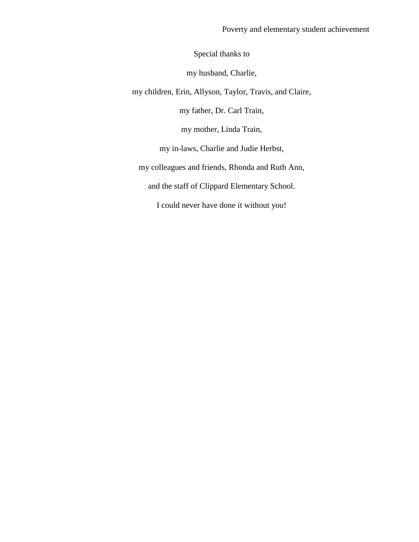Special thanks to

my husband, Charlie,

my children, Erin, Allyson, Taylor, Travis, and Claire,

my father, Dr. Carl Train,

my mother, Linda Train,

my in-laws, Charlie and Judie Herbst,

my colleagues and friends, Rhonda and Ruth Ann,

and the staff of Clippard Elementary School.

I could never have done it without you!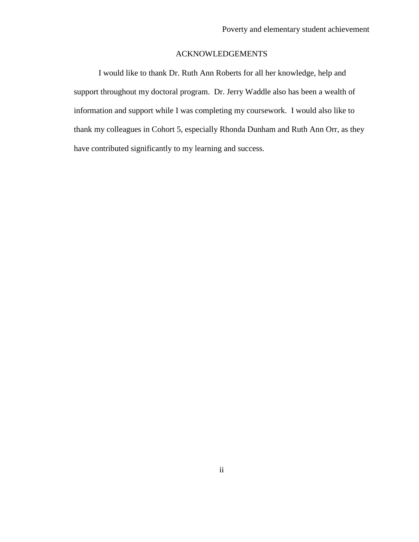### ACKNOWLEDGEMENTS

I would like to thank Dr. Ruth Ann Roberts for all her knowledge, help and support throughout my doctoral program. Dr. Jerry Waddle also has been a wealth of information and support while I was completing my coursework. I would also like to thank my colleagues in Cohort 5, especially Rhonda Dunham and Ruth Ann Orr, as they have contributed significantly to my learning and success.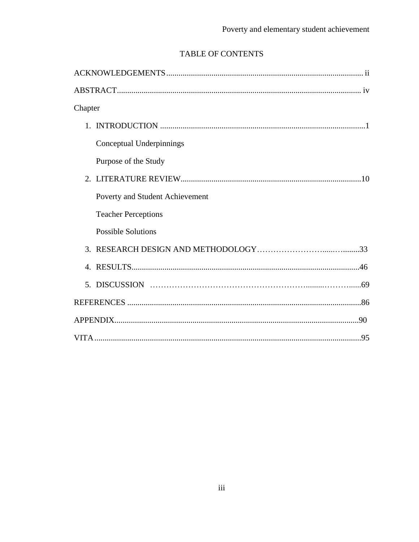# TABLE OF CONTENTS

| Chapter                         |  |
|---------------------------------|--|
|                                 |  |
| Conceptual Underpinnings        |  |
| Purpose of the Study            |  |
| 2.                              |  |
| Poverty and Student Achievement |  |
| <b>Teacher Perceptions</b>      |  |
| <b>Possible Solutions</b>       |  |
|                                 |  |
| $\mathbf{4}$ .                  |  |
| 5.                              |  |
|                                 |  |
|                                 |  |
|                                 |  |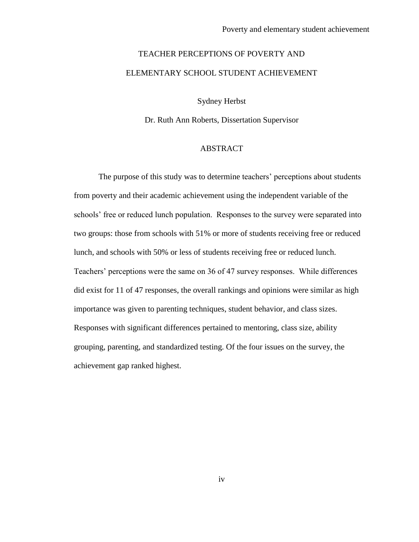# TEACHER PERCEPTIONS OF POVERTY AND ELEMENTARY SCHOOL STUDENT ACHIEVEMENT

Sydney Herbst

Dr. Ruth Ann Roberts, Dissertation Supervisor

#### ABSTRACT

The purpose of this study was to determine teachers' perceptions about students from poverty and their academic achievement using the independent variable of the schools' free or reduced lunch population. Responses to the survey were separated into two groups: those from schools with 51% or more of students receiving free or reduced lunch, and schools with 50% or less of students receiving free or reduced lunch. Teachers' perceptions were the same on 36 of 47 survey responses. While differences did exist for 11 of 47 responses, the overall rankings and opinions were similar as high importance was given to parenting techniques, student behavior, and class sizes. Responses with significant differences pertained to mentoring, class size, ability grouping, parenting, and standardized testing. Of the four issues on the survey, the achievement gap ranked highest.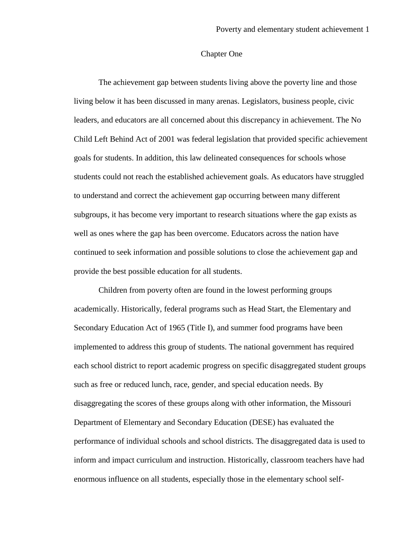#### Chapter One

The achievement gap between students living above the poverty line and those living below it has been discussed in many arenas. Legislators, business people, civic leaders, and educators are all concerned about this discrepancy in achievement. The No Child Left Behind Act of 2001 was federal legislation that provided specific achievement goals for students. In addition, this law delineated consequences for schools whose students could not reach the established achievement goals. As educators have struggled to understand and correct the achievement gap occurring between many different subgroups, it has become very important to research situations where the gap exists as well as ones where the gap has been overcome. Educators across the nation have continued to seek information and possible solutions to close the achievement gap and provide the best possible education for all students.

Children from poverty often are found in the lowest performing groups academically. Historically, federal programs such as Head Start, the Elementary and Secondary Education Act of 1965 (Title I), and summer food programs have been implemented to address this group of students. The national government has required each school district to report academic progress on specific disaggregated student groups such as free or reduced lunch, race, gender, and special education needs. By disaggregating the scores of these groups along with other information, the Missouri Department of Elementary and Secondary Education (DESE) has evaluated the performance of individual schools and school districts. The disaggregated data is used to inform and impact curriculum and instruction. Historically, classroom teachers have had enormous influence on all students, especially those in the elementary school self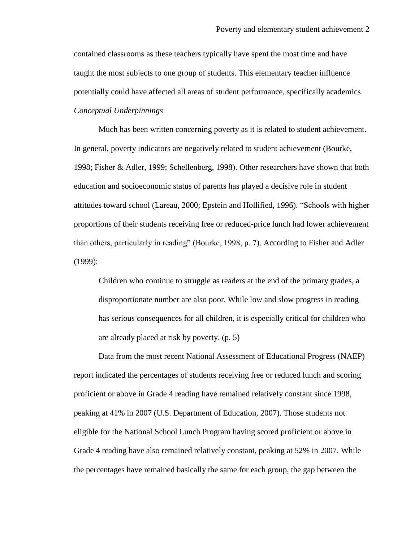contained classrooms as these teachers typically have spent the most time and have taught the most subjects to one group of students. This elementary teacher influence potentially could have affected all areas of student performance, specifically academics. *Conceptual Underpinnings*

Much has been written concerning poverty as it is related to student achievement. In general, poverty indicators are negatively related to student achievement (Bourke, 1998; Fisher & Adler, 1999; Schellenberg, 1998). Other researchers have shown that both education and socioeconomic status of parents has played a decisive role in student attitudes toward school (Lareau, 2000; Epstein and Hollified, 1996). "Schools with higher proportions of their students receiving free or reduced-price lunch had lower achievement than others, particularly in reading" (Bourke, 1998, p. 7). According to Fisher and Adler (1999):

Children who continue to struggle as readers at the end of the primary grades, a disproportionate number are also poor. While low and slow progress in reading has serious consequences for all children, it is especially critical for children who are already placed at risk by poverty. (p. 5)

Data from the most recent National Assessment of Educational Progress (NAEP) report indicated the percentages of students receiving free or reduced lunch and scoring proficient or above in Grade 4 reading have remained relatively constant since 1998, peaking at 41% in 2007 (U.S. Department of Education, 2007). Those students not eligible for the National School Lunch Program having scored proficient or above in Grade 4 reading have also remained relatively constant, peaking at 52% in 2007. While the percentages have remained basically the same for each group, the gap between the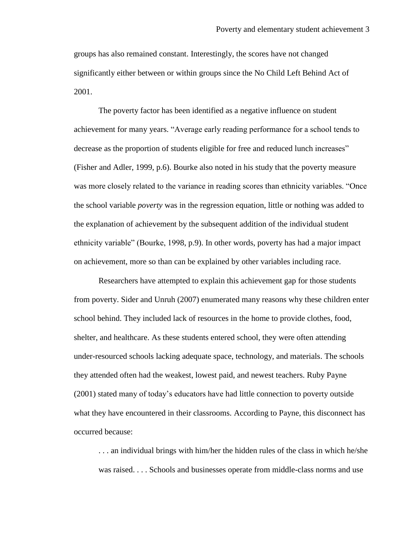groups has also remained constant. Interestingly, the scores have not changed significantly either between or within groups since the No Child Left Behind Act of 2001.

The poverty factor has been identified as a negative influence on student achievement for many years. "Average early reading performance for a school tends to decrease as the proportion of students eligible for free and reduced lunch increases" (Fisher and Adler, 1999, p.6). Bourke also noted in his study that the poverty measure was more closely related to the variance in reading scores than ethnicity variables. "Once the school variable *poverty* was in the regression equation, little or nothing was added to the explanation of achievement by the subsequent addition of the individual student ethnicity variable" (Bourke, 1998, p.9). In other words, poverty has had a major impact on achievement, more so than can be explained by other variables including race.

Researchers have attempted to explain this achievement gap for those students from poverty. Sider and Unruh (2007) enumerated many reasons why these children enter school behind. They included lack of resources in the home to provide clothes, food, shelter, and healthcare. As these students entered school, they were often attending under-resourced schools lacking adequate space, technology, and materials. The schools they attended often had the weakest, lowest paid, and newest teachers. Ruby Payne (2001) stated many of today"s educators have had little connection to poverty outside what they have encountered in their classrooms. According to Payne, this disconnect has occurred because:

. . . an individual brings with him/her the hidden rules of the class in which he/she was raised. . . . Schools and businesses operate from middle-class norms and use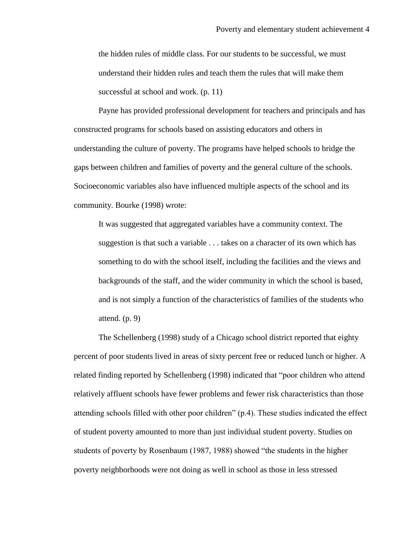the hidden rules of middle class. For our students to be successful, we must understand their hidden rules and teach them the rules that will make them successful at school and work. (p. 11)

Payne has provided professional development for teachers and principals and has constructed programs for schools based on assisting educators and others in understanding the culture of poverty. The programs have helped schools to bridge the gaps between children and families of poverty and the general culture of the schools. Socioeconomic variables also have influenced multiple aspects of the school and its community. Bourke (1998) wrote:

It was suggested that aggregated variables have a community context. The suggestion is that such a variable . . . takes on a character of its own which has something to do with the school itself, including the facilities and the views and backgrounds of the staff, and the wider community in which the school is based, and is not simply a function of the characteristics of families of the students who attend. (p. 9)

The Schellenberg (1998) study of a Chicago school district reported that eighty percent of poor students lived in areas of sixty percent free or reduced lunch or higher. A related finding reported by Schellenberg (1998) indicated that "poor children who attend relatively affluent schools have fewer problems and fewer risk characteristics than those attending schools filled with other poor children" (p.4). These studies indicated the effect of student poverty amounted to more than just individual student poverty. Studies on students of poverty by Rosenbaum (1987, 1988) showed "the students in the higher poverty neighborhoods were not doing as well in school as those in less stressed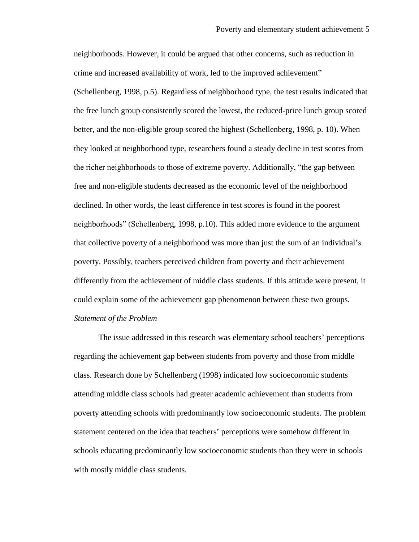neighborhoods. However, it could be argued that other concerns, such as reduction in crime and increased availability of work, led to the improved achievement" (Schellenberg, 1998, p.5). Regardless of neighborhood type, the test results indicated that the free lunch group consistently scored the lowest, the reduced-price lunch group scored better, and the non-eligible group scored the highest (Schellenberg, 1998, p. 10). When they looked at neighborhood type, researchers found a steady decline in test scores from the richer neighborhoods to those of extreme poverty. Additionally, "the gap between free and non-eligible students decreased as the economic level of the neighborhood declined. In other words, the least difference in test scores is found in the poorest neighborhoods" (Schellenberg, 1998, p.10). This added more evidence to the argument that collective poverty of a neighborhood was more than just the sum of an individual"s poverty. Possibly, teachers perceived children from poverty and their achievement differently from the achievement of middle class students. If this attitude were present, it could explain some of the achievement gap phenomenon between these two groups. *Statement of the Problem*

The issue addressed in this research was elementary school teachers' perceptions regarding the achievement gap between students from poverty and those from middle class. Research done by Schellenberg (1998) indicated low socioeconomic students attending middle class schools had greater academic achievement than students from poverty attending schools with predominantly low socioeconomic students. The problem statement centered on the idea that teachers" perceptions were somehow different in schools educating predominantly low socioeconomic students than they were in schools with mostly middle class students.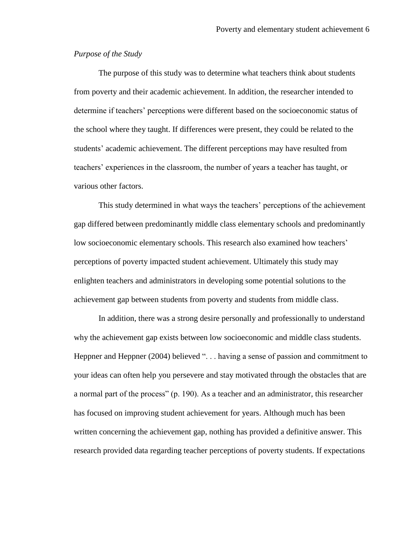#### *Purpose of the Study*

The purpose of this study was to determine what teachers think about students from poverty and their academic achievement. In addition, the researcher intended to determine if teachers" perceptions were different based on the socioeconomic status of the school where they taught. If differences were present, they could be related to the students" academic achievement. The different perceptions may have resulted from teachers" experiences in the classroom, the number of years a teacher has taught, or various other factors.

This study determined in what ways the teachers" perceptions of the achievement gap differed between predominantly middle class elementary schools and predominantly low socioeconomic elementary schools. This research also examined how teachers' perceptions of poverty impacted student achievement. Ultimately this study may enlighten teachers and administrators in developing some potential solutions to the achievement gap between students from poverty and students from middle class.

In addition, there was a strong desire personally and professionally to understand why the achievement gap exists between low socioeconomic and middle class students. Heppner and Heppner (2004) believed "... having a sense of passion and commitment to your ideas can often help you persevere and stay motivated through the obstacles that are a normal part of the process" (p. 190). As a teacher and an administrator, this researcher has focused on improving student achievement for years. Although much has been written concerning the achievement gap, nothing has provided a definitive answer. This research provided data regarding teacher perceptions of poverty students. If expectations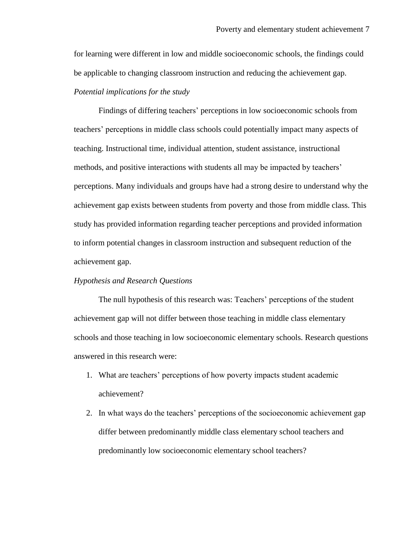for learning were different in low and middle socioeconomic schools, the findings could be applicable to changing classroom instruction and reducing the achievement gap. *Potential implications for the study*

Findings of differing teachers" perceptions in low socioeconomic schools from teachers" perceptions in middle class schools could potentially impact many aspects of teaching. Instructional time, individual attention, student assistance, instructional methods, and positive interactions with students all may be impacted by teachers' perceptions. Many individuals and groups have had a strong desire to understand why the achievement gap exists between students from poverty and those from middle class. This study has provided information regarding teacher perceptions and provided information to inform potential changes in classroom instruction and subsequent reduction of the achievement gap.

#### *Hypothesis and Research Questions*

The null hypothesis of this research was: Teachers' perceptions of the student achievement gap will not differ between those teaching in middle class elementary schools and those teaching in low socioeconomic elementary schools. Research questions answered in this research were:

- 1. What are teachers" perceptions of how poverty impacts student academic achievement?
- 2. In what ways do the teachers' perceptions of the socioeconomic achievement gap differ between predominantly middle class elementary school teachers and predominantly low socioeconomic elementary school teachers?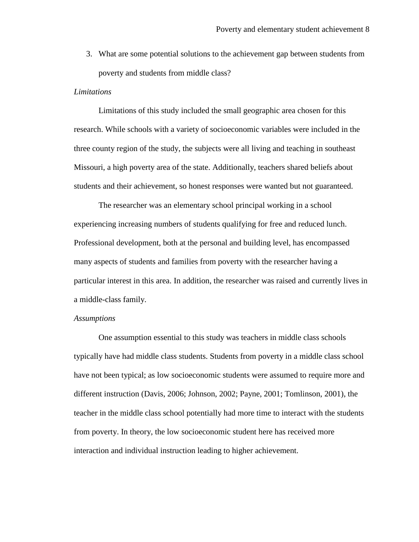3. What are some potential solutions to the achievement gap between students from poverty and students from middle class?

#### *Limitations*

Limitations of this study included the small geographic area chosen for this research. While schools with a variety of socioeconomic variables were included in the three county region of the study, the subjects were all living and teaching in southeast Missouri, a high poverty area of the state. Additionally, teachers shared beliefs about students and their achievement, so honest responses were wanted but not guaranteed.

The researcher was an elementary school principal working in a school experiencing increasing numbers of students qualifying for free and reduced lunch. Professional development, both at the personal and building level, has encompassed many aspects of students and families from poverty with the researcher having a particular interest in this area. In addition, the researcher was raised and currently lives in a middle-class family.

#### *Assumptions*

One assumption essential to this study was teachers in middle class schools typically have had middle class students. Students from poverty in a middle class school have not been typical; as low socioeconomic students were assumed to require more and different instruction (Davis, 2006; Johnson, 2002; Payne, 2001; Tomlinson, 2001), the teacher in the middle class school potentially had more time to interact with the students from poverty. In theory, the low socioeconomic student here has received more interaction and individual instruction leading to higher achievement.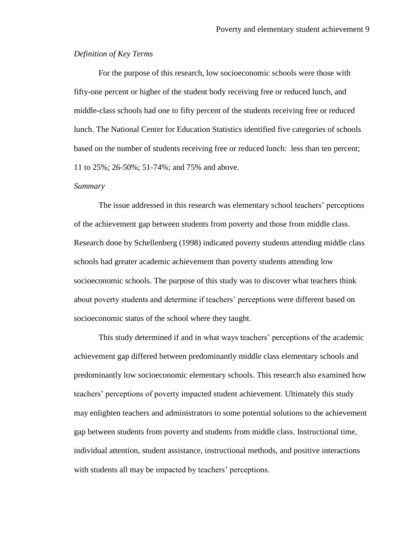#### *Definition of Key Terms*

For the purpose of this research, low socioeconomic schools were those with fifty-one percent or higher of the student body receiving free or reduced lunch, and middle-class schools had one to fifty percent of the students receiving free or reduced lunch. The National Center for Education Statistics identified five categories of schools based on the number of students receiving free or reduced lunch: less than ten percent; 11 to 25%; 26-50%; 51-74%; and 75% and above.

#### *Summary*

The issue addressed in this research was elementary school teachers" perceptions of the achievement gap between students from poverty and those from middle class. Research done by Schellenberg (1998) indicated poverty students attending middle class schools had greater academic achievement than poverty students attending low socioeconomic schools. The purpose of this study was to discover what teachers think about poverty students and determine if teachers" perceptions were different based on socioeconomic status of the school where they taught.

This study determined if and in what ways teachers' perceptions of the academic achievement gap differed between predominantly middle class elementary schools and predominantly low socioeconomic elementary schools. This research also examined how teachers" perceptions of poverty impacted student achievement. Ultimately this study may enlighten teachers and administrators to some potential solutions to the achievement gap between students from poverty and students from middle class. Instructional time, individual attention, student assistance, instructional methods, and positive interactions with students all may be impacted by teachers' perceptions.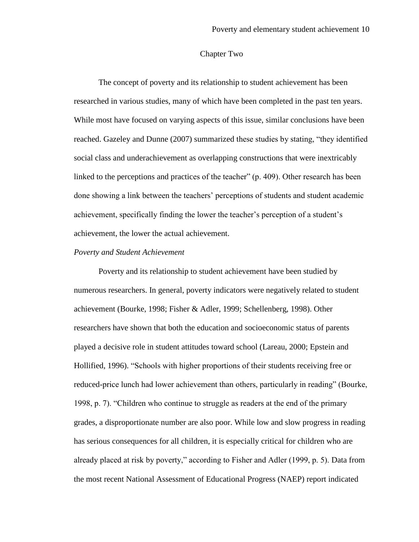#### Chapter Two

The concept of poverty and its relationship to student achievement has been researched in various studies, many of which have been completed in the past ten years. While most have focused on varying aspects of this issue, similar conclusions have been reached. Gazeley and Dunne (2007) summarized these studies by stating, "they identified social class and underachievement as overlapping constructions that were inextricably linked to the perceptions and practices of the teacher" (p. 409). Other research has been done showing a link between the teachers" perceptions of students and student academic achievement, specifically finding the lower the teacher"s perception of a student"s achievement, the lower the actual achievement.

#### *Poverty and Student Achievement*

Poverty and its relationship to student achievement have been studied by numerous researchers. In general, poverty indicators were negatively related to student achievement (Bourke, 1998; Fisher & Adler, 1999; Schellenberg, 1998). Other researchers have shown that both the education and socioeconomic status of parents played a decisive role in student attitudes toward school (Lareau, 2000; Epstein and Hollified, 1996). "Schools with higher proportions of their students receiving free or reduced-price lunch had lower achievement than others, particularly in reading" (Bourke, 1998, p. 7). "Children who continue to struggle as readers at the end of the primary grades, a disproportionate number are also poor. While low and slow progress in reading has serious consequences for all children, it is especially critical for children who are already placed at risk by poverty," according to Fisher and Adler (1999, p. 5). Data from the most recent National Assessment of Educational Progress (NAEP) report indicated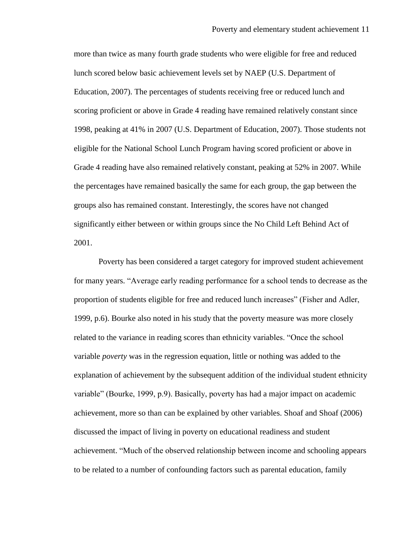more than twice as many fourth grade students who were eligible for free and reduced lunch scored below basic achievement levels set by NAEP (U.S. Department of Education, 2007). The percentages of students receiving free or reduced lunch and scoring proficient or above in Grade 4 reading have remained relatively constant since 1998, peaking at 41% in 2007 (U.S. Department of Education, 2007). Those students not eligible for the National School Lunch Program having scored proficient or above in Grade 4 reading have also remained relatively constant, peaking at 52% in 2007. While the percentages have remained basically the same for each group, the gap between the groups also has remained constant. Interestingly, the scores have not changed significantly either between or within groups since the No Child Left Behind Act of 2001.

Poverty has been considered a target category for improved student achievement for many years. "Average early reading performance for a school tends to decrease as the proportion of students eligible for free and reduced lunch increases" (Fisher and Adler, 1999, p.6). Bourke also noted in his study that the poverty measure was more closely related to the variance in reading scores than ethnicity variables. "Once the school variable *poverty* was in the regression equation, little or nothing was added to the explanation of achievement by the subsequent addition of the individual student ethnicity variable" (Bourke, 1999, p.9). Basically, poverty has had a major impact on academic achievement, more so than can be explained by other variables. Shoaf and Shoaf (2006) discussed the impact of living in poverty on educational readiness and student achievement. "Much of the observed relationship between income and schooling appears to be related to a number of confounding factors such as parental education, family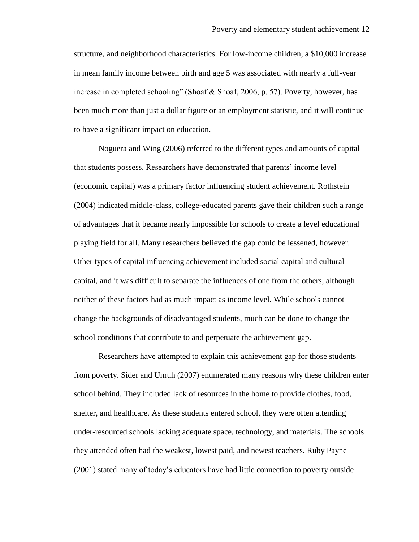structure, and neighborhood characteristics. For low-income children, a \$10,000 increase in mean family income between birth and age 5 was associated with nearly a full-year increase in completed schooling" (Shoaf & Shoaf, 2006, p. 57). Poverty, however, has been much more than just a dollar figure or an employment statistic, and it will continue to have a significant impact on education.

Noguera and Wing (2006) referred to the different types and amounts of capital that students possess. Researchers have demonstrated that parents" income level (economic capital) was a primary factor influencing student achievement. Rothstein (2004) indicated middle-class, college-educated parents gave their children such a range of advantages that it became nearly impossible for schools to create a level educational playing field for all. Many researchers believed the gap could be lessened, however. Other types of capital influencing achievement included social capital and cultural capital, and it was difficult to separate the influences of one from the others, although neither of these factors had as much impact as income level. While schools cannot change the backgrounds of disadvantaged students, much can be done to change the school conditions that contribute to and perpetuate the achievement gap.

Researchers have attempted to explain this achievement gap for those students from poverty. Sider and Unruh (2007) enumerated many reasons why these children enter school behind. They included lack of resources in the home to provide clothes, food, shelter, and healthcare. As these students entered school, they were often attending under-resourced schools lacking adequate space, technology, and materials. The schools they attended often had the weakest, lowest paid, and newest teachers. Ruby Payne (2001) stated many of today"s educators have had little connection to poverty outside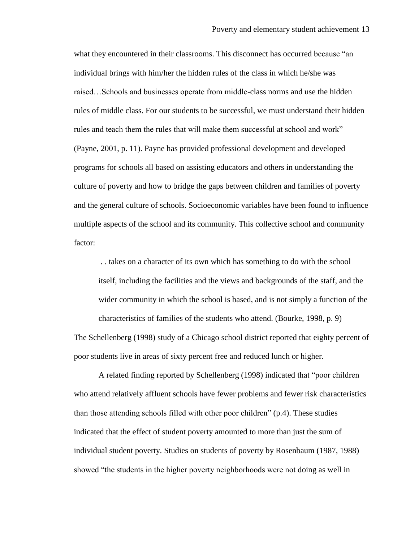what they encountered in their classrooms. This disconnect has occurred because "an individual brings with him/her the hidden rules of the class in which he/she was raised…Schools and businesses operate from middle-class norms and use the hidden rules of middle class. For our students to be successful, we must understand their hidden rules and teach them the rules that will make them successful at school and work" (Payne, 2001, p. 11). Payne has provided professional development and developed programs for schools all based on assisting educators and others in understanding the culture of poverty and how to bridge the gaps between children and families of poverty and the general culture of schools. Socioeconomic variables have been found to influence multiple aspects of the school and its community. This collective school and community factor:

. . takes on a character of its own which has something to do with the school itself, including the facilities and the views and backgrounds of the staff, and the wider community in which the school is based, and is not simply a function of the characteristics of families of the students who attend. (Bourke, 1998, p. 9)

The Schellenberg (1998) study of a Chicago school district reported that eighty percent of poor students live in areas of sixty percent free and reduced lunch or higher.

A related finding reported by Schellenberg (1998) indicated that "poor children who attend relatively affluent schools have fewer problems and fewer risk characteristics than those attending schools filled with other poor children" (p.4). These studies indicated that the effect of student poverty amounted to more than just the sum of individual student poverty. Studies on students of poverty by Rosenbaum (1987, 1988) showed "the students in the higher poverty neighborhoods were not doing as well in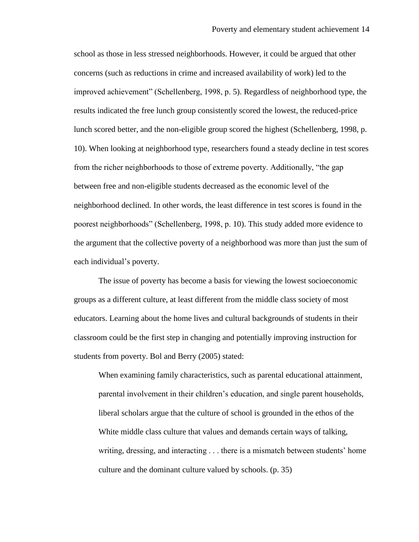school as those in less stressed neighborhoods. However, it could be argued that other concerns (such as reductions in crime and increased availability of work) led to the improved achievement" (Schellenberg, 1998, p. 5). Regardless of neighborhood type, the results indicated the free lunch group consistently scored the lowest, the reduced-price lunch scored better, and the non-eligible group scored the highest (Schellenberg, 1998, p. 10). When looking at neighborhood type, researchers found a steady decline in test scores from the richer neighborhoods to those of extreme poverty. Additionally, "the gap between free and non-eligible students decreased as the economic level of the neighborhood declined. In other words, the least difference in test scores is found in the poorest neighborhoods" (Schellenberg, 1998, p. 10). This study added more evidence to the argument that the collective poverty of a neighborhood was more than just the sum of each individual"s poverty.

The issue of poverty has become a basis for viewing the lowest socioeconomic groups as a different culture, at least different from the middle class society of most educators. Learning about the home lives and cultural backgrounds of students in their classroom could be the first step in changing and potentially improving instruction for students from poverty. Bol and Berry (2005) stated:

When examining family characteristics, such as parental educational attainment, parental involvement in their children"s education, and single parent households, liberal scholars argue that the culture of school is grounded in the ethos of the White middle class culture that values and demands certain ways of talking, writing, dressing, and interacting . . . there is a mismatch between students" home culture and the dominant culture valued by schools. (p. 35)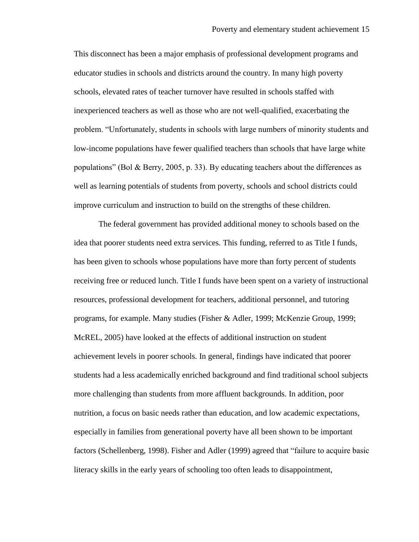This disconnect has been a major emphasis of professional development programs and educator studies in schools and districts around the country. In many high poverty schools, elevated rates of teacher turnover have resulted in schools staffed with inexperienced teachers as well as those who are not well-qualified, exacerbating the problem. "Unfortunately, students in schools with large numbers of minority students and low-income populations have fewer qualified teachers than schools that have large white populations" (Bol & Berry, 2005, p. 33). By educating teachers about the differences as well as learning potentials of students from poverty, schools and school districts could improve curriculum and instruction to build on the strengths of these children.

The federal government has provided additional money to schools based on the idea that poorer students need extra services. This funding, referred to as Title I funds, has been given to schools whose populations have more than forty percent of students receiving free or reduced lunch. Title I funds have been spent on a variety of instructional resources, professional development for teachers, additional personnel, and tutoring programs, for example. Many studies (Fisher & Adler, 1999; McKenzie Group, 1999; McREL, 2005) have looked at the effects of additional instruction on student achievement levels in poorer schools. In general, findings have indicated that poorer students had a less academically enriched background and find traditional school subjects more challenging than students from more affluent backgrounds. In addition, poor nutrition, a focus on basic needs rather than education, and low academic expectations, especially in families from generational poverty have all been shown to be important factors (Schellenberg, 1998). Fisher and Adler (1999) agreed that "failure to acquire basic literacy skills in the early years of schooling too often leads to disappointment,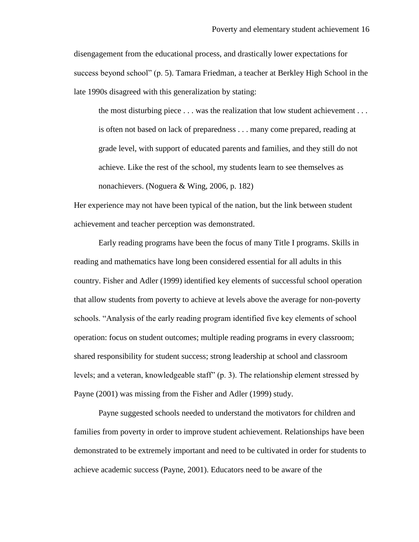disengagement from the educational process, and drastically lower expectations for success beyond school" (p. 5). Tamara Friedman, a teacher at Berkley High School in the late 1990s disagreed with this generalization by stating:

the most disturbing piece . . . was the realization that low student achievement . . . is often not based on lack of preparedness . . . many come prepared, reading at grade level, with support of educated parents and families, and they still do not achieve. Like the rest of the school, my students learn to see themselves as nonachievers. (Noguera & Wing, 2006, p. 182)

Her experience may not have been typical of the nation, but the link between student achievement and teacher perception was demonstrated.

Early reading programs have been the focus of many Title I programs. Skills in reading and mathematics have long been considered essential for all adults in this country. Fisher and Adler (1999) identified key elements of successful school operation that allow students from poverty to achieve at levels above the average for non-poverty schools. "Analysis of the early reading program identified five key elements of school operation: focus on student outcomes; multiple reading programs in every classroom; shared responsibility for student success; strong leadership at school and classroom levels; and a veteran, knowledgeable staff" (p. 3). The relationship element stressed by Payne (2001) was missing from the Fisher and Adler (1999) study.

Payne suggested schools needed to understand the motivators for children and families from poverty in order to improve student achievement. Relationships have been demonstrated to be extremely important and need to be cultivated in order for students to achieve academic success (Payne, 2001). Educators need to be aware of the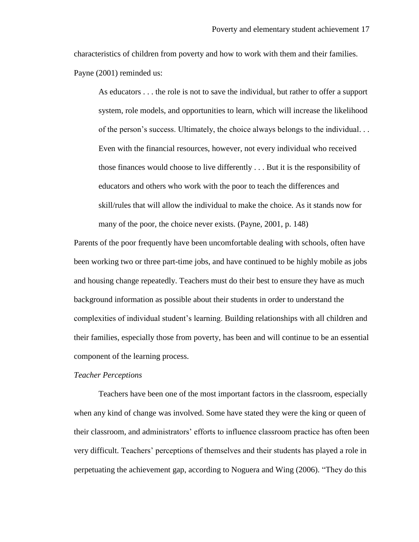characteristics of children from poverty and how to work with them and their families. Payne (2001) reminded us:

As educators . . . the role is not to save the individual, but rather to offer a support system, role models, and opportunities to learn, which will increase the likelihood of the person"s success. Ultimately, the choice always belongs to the individual. . . Even with the financial resources, however, not every individual who received those finances would choose to live differently . . . But it is the responsibility of educators and others who work with the poor to teach the differences and skill/rules that will allow the individual to make the choice. As it stands now for many of the poor, the choice never exists. (Payne, 2001, p. 148)

Parents of the poor frequently have been uncomfortable dealing with schools, often have been working two or three part-time jobs, and have continued to be highly mobile as jobs and housing change repeatedly. Teachers must do their best to ensure they have as much background information as possible about their students in order to understand the complexities of individual student"s learning. Building relationships with all children and their families, especially those from poverty, has been and will continue to be an essential component of the learning process.

#### *Teacher Perceptions*

Teachers have been one of the most important factors in the classroom, especially when any kind of change was involved. Some have stated they were the king or queen of their classroom, and administrators" efforts to influence classroom practice has often been very difficult. Teachers" perceptions of themselves and their students has played a role in perpetuating the achievement gap, according to Noguera and Wing (2006). "They do this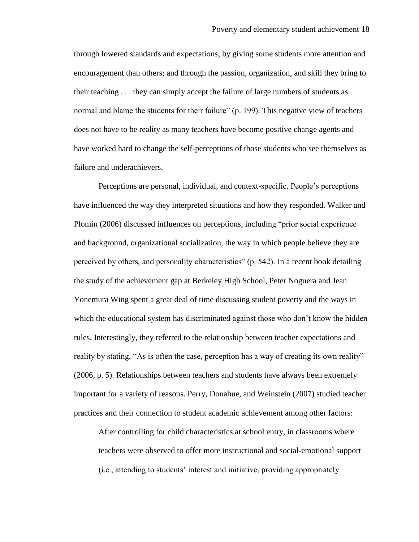through lowered standards and expectations; by giving some students more attention and encouragement than others; and through the passion, organization, and skill they bring to their teaching . . . they can simply accept the failure of large numbers of students as normal and blame the students for their failure" (p. 199). This negative view of teachers does not have to be reality as many teachers have become positive change agents and have worked hard to change the self-perceptions of those students who see themselves as failure and underachievers.

Perceptions are personal, individual, and context-specific. People"s perceptions have influenced the way they interpreted situations and how they responded. Walker and Plomin (2006) discussed influences on perceptions, including "prior social experience and background, organizational socialization, the way in which people believe they are perceived by others, and personality characteristics" (p. 542). In a recent book detailing the study of the achievement gap at Berkeley High School, Peter Noguera and Jean Yonemura Wing spent a great deal of time discussing student poverty and the ways in which the educational system has discriminated against those who don't know the hidden rules. Interestingly, they referred to the relationship between teacher expectations and reality by stating, "As is often the case, perception has a way of creating its own reality" (2006, p. 5). Relationships between teachers and students have always been extremely important for a variety of reasons. Perry, Donahue, and Weinstein (2007) studied teacher practices and their connection to student academic achievement among other factors:

After controlling for child characteristics at school entry, in classrooms where teachers were observed to offer more instructional and social-emotional support (i.e., attending to students" interest and initiative, providing appropriately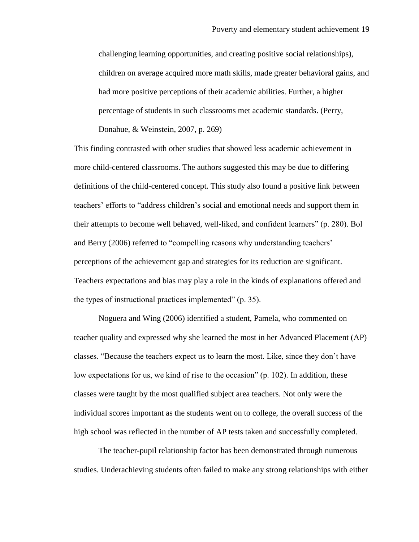challenging learning opportunities, and creating positive social relationships), children on average acquired more math skills, made greater behavioral gains, and had more positive perceptions of their academic abilities. Further, a higher percentage of students in such classrooms met academic standards. (Perry, Donahue, & Weinstein, 2007, p. 269)

This finding contrasted with other studies that showed less academic achievement in more child-centered classrooms. The authors suggested this may be due to differing definitions of the child-centered concept. This study also found a positive link between teachers" efforts to "address children"s social and emotional needs and support them in their attempts to become well behaved, well-liked, and confident learners" (p. 280). Bol and Berry (2006) referred to "compelling reasons why understanding teachers" perceptions of the achievement gap and strategies for its reduction are significant. Teachers expectations and bias may play a role in the kinds of explanations offered and the types of instructional practices implemented" (p. 35).

Noguera and Wing (2006) identified a student, Pamela, who commented on teacher quality and expressed why she learned the most in her Advanced Placement (AP) classes. "Because the teachers expect us to learn the most. Like, since they don"t have low expectations for us, we kind of rise to the occasion" (p. 102). In addition, these classes were taught by the most qualified subject area teachers. Not only were the individual scores important as the students went on to college, the overall success of the high school was reflected in the number of AP tests taken and successfully completed.

The teacher-pupil relationship factor has been demonstrated through numerous studies. Underachieving students often failed to make any strong relationships with either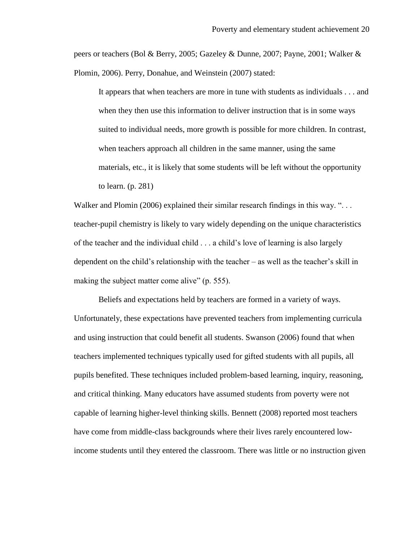peers or teachers (Bol & Berry, 2005; Gazeley & Dunne, 2007; Payne, 2001; Walker & Plomin, 2006). Perry, Donahue, and Weinstein (2007) stated:

It appears that when teachers are more in tune with students as individuals . . . and when they then use this information to deliver instruction that is in some ways suited to individual needs, more growth is possible for more children. In contrast, when teachers approach all children in the same manner, using the same materials, etc., it is likely that some students will be left without the opportunity to learn. (p. 281)

Walker and Plomin (2006) explained their similar research findings in this way. "... teacher-pupil chemistry is likely to vary widely depending on the unique characteristics of the teacher and the individual child . . . a child"s love of learning is also largely dependent on the child"s relationship with the teacher – as well as the teacher"s skill in making the subject matter come alive" (p. 555).

Beliefs and expectations held by teachers are formed in a variety of ways. Unfortunately, these expectations have prevented teachers from implementing curricula and using instruction that could benefit all students. Swanson (2006) found that when teachers implemented techniques typically used for gifted students with all pupils, all pupils benefited. These techniques included problem-based learning, inquiry, reasoning, and critical thinking. Many educators have assumed students from poverty were not capable of learning higher-level thinking skills. Bennett (2008) reported most teachers have come from middle-class backgrounds where their lives rarely encountered lowincome students until they entered the classroom. There was little or no instruction given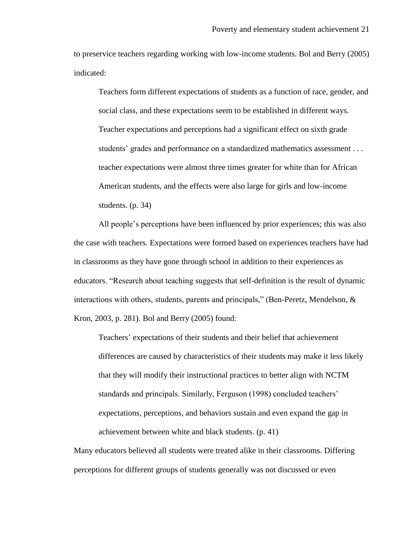to preservice teachers regarding working with low-income students. Bol and Berry (2005) indicated:

Teachers form different expectations of students as a function of race, gender, and social class, and these expectations seem to be established in different ways. Teacher expectations and perceptions had a significant effect on sixth grade students' grades and performance on a standardized mathematics assessment . . . teacher expectations were almost three times greater for white than for African American students, and the effects were also large for girls and low-income students. (p. 34)

All people"s perceptions have been influenced by prior experiences; this was also the case with teachers. Expectations were formed based on experiences teachers have had in classrooms as they have gone through school in addition to their experiences as educators. "Research about teaching suggests that self-definition is the result of dynamic interactions with others, students, parents and principals," (Ben-Peretz, Mendelson, & Kron, 2003, p. 281). Bol and Berry (2005) found:

Teachers" expectations of their students and their belief that achievement differences are caused by characteristics of their students may make it less likely that they will modify their instructional practices to better align with NCTM standards and principals. Similarly, Ferguson (1998) concluded teachers" expectations, perceptions, and behaviors sustain and even expand the gap in achievement between white and black students. (p. 41)

Many educators believed all students were treated alike in their classrooms. Differing perceptions for different groups of students generally was not discussed or even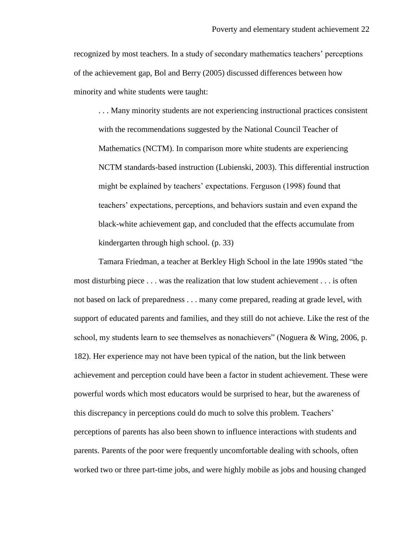recognized by most teachers. In a study of secondary mathematics teachers" perceptions of the achievement gap, Bol and Berry (2005) discussed differences between how minority and white students were taught:

. . . Many minority students are not experiencing instructional practices consistent with the recommendations suggested by the National Council Teacher of Mathematics (NCTM). In comparison more white students are experiencing NCTM standards-based instruction (Lubienski, 2003). This differential instruction might be explained by teachers' expectations. Ferguson (1998) found that teachers" expectations, perceptions, and behaviors sustain and even expand the black-white achievement gap, and concluded that the effects accumulate from kindergarten through high school. (p. 33)

Tamara Friedman, a teacher at Berkley High School in the late 1990s stated "the most disturbing piece . . . was the realization that low student achievement . . . is often not based on lack of preparedness . . . many come prepared, reading at grade level, with support of educated parents and families, and they still do not achieve. Like the rest of the school, my students learn to see themselves as nonachievers" (Noguera & Wing, 2006, p. 182). Her experience may not have been typical of the nation, but the link between achievement and perception could have been a factor in student achievement. These were powerful words which most educators would be surprised to hear, but the awareness of this discrepancy in perceptions could do much to solve this problem. Teachers" perceptions of parents has also been shown to influence interactions with students and parents. Parents of the poor were frequently uncomfortable dealing with schools, often worked two or three part-time jobs, and were highly mobile as jobs and housing changed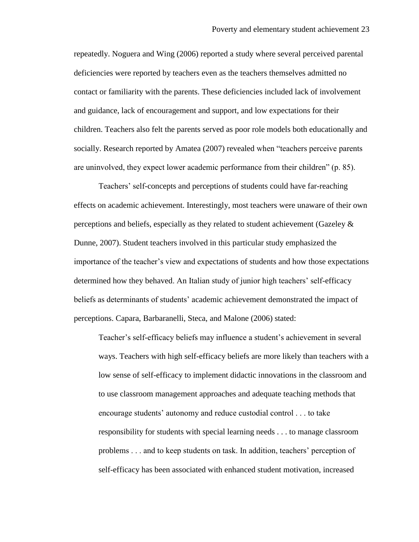repeatedly. Noguera and Wing (2006) reported a study where several perceived parental deficiencies were reported by teachers even as the teachers themselves admitted no contact or familiarity with the parents. These deficiencies included lack of involvement and guidance, lack of encouragement and support, and low expectations for their children. Teachers also felt the parents served as poor role models both educationally and socially. Research reported by Amatea (2007) revealed when "teachers perceive parents are uninvolved, they expect lower academic performance from their children" (p. 85).

Teachers" self-concepts and perceptions of students could have far-reaching effects on academic achievement. Interestingly, most teachers were unaware of their own perceptions and beliefs, especially as they related to student achievement (Gazeley & Dunne, 2007). Student teachers involved in this particular study emphasized the importance of the teacher"s view and expectations of students and how those expectations determined how they behaved. An Italian study of junior high teachers' self-efficacy beliefs as determinants of students" academic achievement demonstrated the impact of perceptions. Capara, Barbaranelli, Steca, and Malone (2006) stated:

Teacher's self-efficacy beliefs may influence a student's achievement in several ways. Teachers with high self-efficacy beliefs are more likely than teachers with a low sense of self-efficacy to implement didactic innovations in the classroom and to use classroom management approaches and adequate teaching methods that encourage students" autonomy and reduce custodial control . . . to take responsibility for students with special learning needs . . . to manage classroom problems . . . and to keep students on task. In addition, teachers" perception of self-efficacy has been associated with enhanced student motivation, increased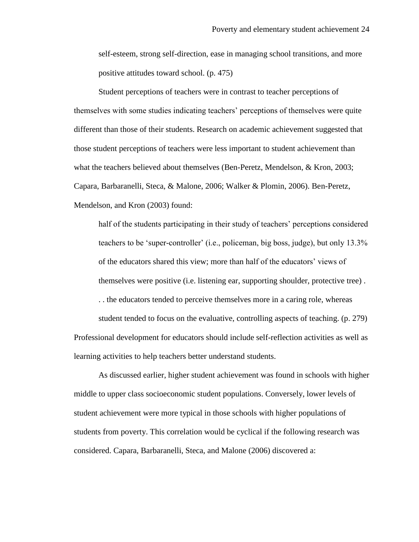self-esteem, strong self-direction, ease in managing school transitions, and more positive attitudes toward school. (p. 475)

Student perceptions of teachers were in contrast to teacher perceptions of themselves with some studies indicating teachers" perceptions of themselves were quite different than those of their students. Research on academic achievement suggested that those student perceptions of teachers were less important to student achievement than what the teachers believed about themselves (Ben-Peretz, Mendelson, & Kron, 2003; Capara, Barbaranelli, Steca, & Malone, 2006; Walker & Plomin, 2006). Ben-Peretz, Mendelson, and Kron (2003) found:

half of the students participating in their study of teachers' perceptions considered teachers to be "super-controller" (i.e., policeman, big boss, judge), but only 13.3% of the educators shared this view; more than half of the educators" views of themselves were positive (i.e. listening ear, supporting shoulder, protective tree) .

. . the educators tended to perceive themselves more in a caring role, whereas

student tended to focus on the evaluative, controlling aspects of teaching. (p. 279) Professional development for educators should include self-reflection activities as well as learning activities to help teachers better understand students.

As discussed earlier, higher student achievement was found in schools with higher middle to upper class socioeconomic student populations. Conversely, lower levels of student achievement were more typical in those schools with higher populations of students from poverty. This correlation would be cyclical if the following research was considered. Capara, Barbaranelli, Steca, and Malone (2006) discovered a: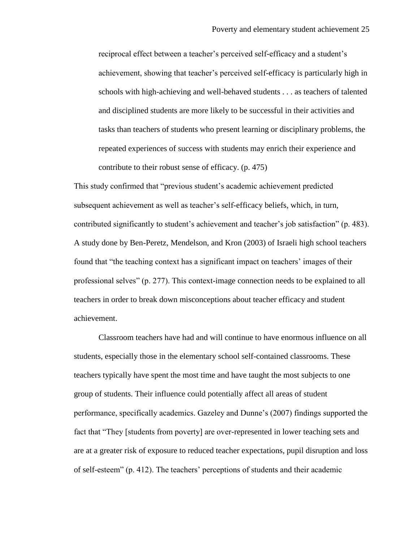reciprocal effect between a teacher"s perceived self-efficacy and a student"s achievement, showing that teacher"s perceived self-efficacy is particularly high in schools with high-achieving and well-behaved students . . . as teachers of talented and disciplined students are more likely to be successful in their activities and tasks than teachers of students who present learning or disciplinary problems, the repeated experiences of success with students may enrich their experience and contribute to their robust sense of efficacy. (p. 475)

This study confirmed that "previous student"s academic achievement predicted subsequent achievement as well as teacher"s self-efficacy beliefs, which, in turn, contributed significantly to student"s achievement and teacher"s job satisfaction" (p. 483). A study done by Ben-Peretz, Mendelson, and Kron (2003) of Israeli high school teachers found that "the teaching context has a significant impact on teachers' images of their professional selves" (p. 277). This context-image connection needs to be explained to all teachers in order to break down misconceptions about teacher efficacy and student achievement.

Classroom teachers have had and will continue to have enormous influence on all students, especially those in the elementary school self-contained classrooms. These teachers typically have spent the most time and have taught the most subjects to one group of students. Their influence could potentially affect all areas of student performance, specifically academics. Gazeley and Dunne"s (2007) findings supported the fact that "They [students from poverty] are over-represented in lower teaching sets and are at a greater risk of exposure to reduced teacher expectations, pupil disruption and loss of self-esteem" (p. 412). The teachers" perceptions of students and their academic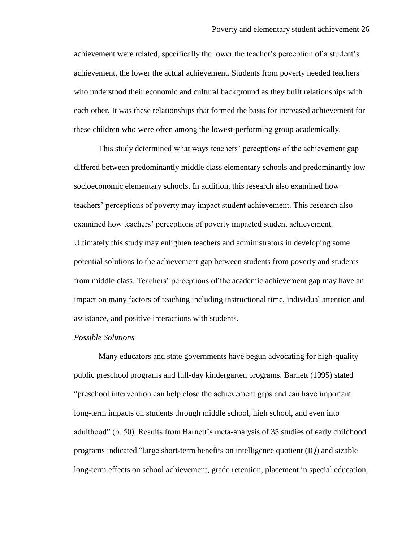achievement were related, specifically the lower the teacher"s perception of a student"s achievement, the lower the actual achievement. Students from poverty needed teachers who understood their economic and cultural background as they built relationships with each other. It was these relationships that formed the basis for increased achievement for these children who were often among the lowest-performing group academically.

This study determined what ways teachers' perceptions of the achievement gap differed between predominantly middle class elementary schools and predominantly low socioeconomic elementary schools. In addition, this research also examined how teachers" perceptions of poverty may impact student achievement. This research also examined how teachers" perceptions of poverty impacted student achievement. Ultimately this study may enlighten teachers and administrators in developing some potential solutions to the achievement gap between students from poverty and students from middle class. Teachers' perceptions of the academic achievement gap may have an impact on many factors of teaching including instructional time, individual attention and assistance, and positive interactions with students.

#### *Possible Solutions*

Many educators and state governments have begun advocating for high-quality public preschool programs and full-day kindergarten programs. Barnett (1995) stated "preschool intervention can help close the achievement gaps and can have important long-term impacts on students through middle school, high school, and even into adulthood" (p. 50). Results from Barnett"s meta-analysis of 35 studies of early childhood programs indicated "large short-term benefits on intelligence quotient (IQ) and sizable long-term effects on school achievement, grade retention, placement in special education,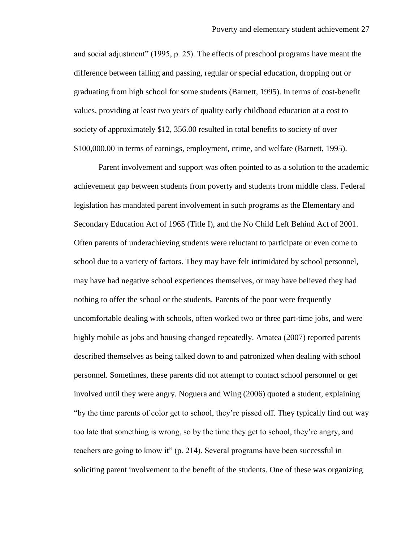and social adjustment" (1995, p. 25). The effects of preschool programs have meant the difference between failing and passing, regular or special education, dropping out or graduating from high school for some students (Barnett, 1995). In terms of cost-benefit values, providing at least two years of quality early childhood education at a cost to society of approximately \$12, 356.00 resulted in total benefits to society of over \$100,000.00 in terms of earnings, employment, crime, and welfare (Barnett, 1995).

Parent involvement and support was often pointed to as a solution to the academic achievement gap between students from poverty and students from middle class. Federal legislation has mandated parent involvement in such programs as the Elementary and Secondary Education Act of 1965 (Title I), and the No Child Left Behind Act of 2001. Often parents of underachieving students were reluctant to participate or even come to school due to a variety of factors. They may have felt intimidated by school personnel, may have had negative school experiences themselves, or may have believed they had nothing to offer the school or the students. Parents of the poor were frequently uncomfortable dealing with schools, often worked two or three part-time jobs, and were highly mobile as jobs and housing changed repeatedly. Amatea (2007) reported parents described themselves as being talked down to and patronized when dealing with school personnel. Sometimes, these parents did not attempt to contact school personnel or get involved until they were angry. Noguera and Wing (2006) quoted a student, explaining "by the time parents of color get to school, they"re pissed off. They typically find out way too late that something is wrong, so by the time they get to school, they"re angry, and teachers are going to know it" (p. 214). Several programs have been successful in soliciting parent involvement to the benefit of the students. One of these was organizing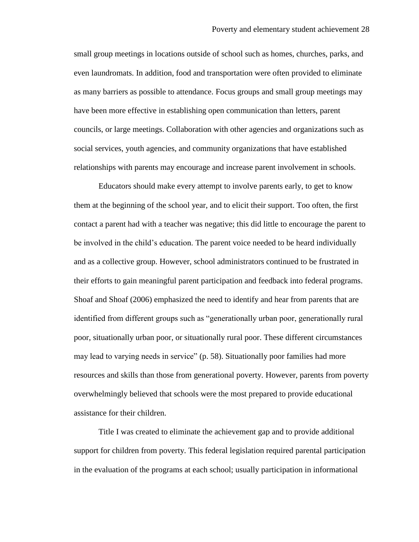small group meetings in locations outside of school such as homes, churches, parks, and even laundromats. In addition, food and transportation were often provided to eliminate as many barriers as possible to attendance. Focus groups and small group meetings may have been more effective in establishing open communication than letters, parent councils, or large meetings. Collaboration with other agencies and organizations such as social services, youth agencies, and community organizations that have established relationships with parents may encourage and increase parent involvement in schools.

Educators should make every attempt to involve parents early, to get to know them at the beginning of the school year, and to elicit their support. Too often, the first contact a parent had with a teacher was negative; this did little to encourage the parent to be involved in the child"s education. The parent voice needed to be heard individually and as a collective group. However, school administrators continued to be frustrated in their efforts to gain meaningful parent participation and feedback into federal programs. Shoaf and Shoaf (2006) emphasized the need to identify and hear from parents that are identified from different groups such as "generationally urban poor, generationally rural poor, situationally urban poor, or situationally rural poor. These different circumstances may lead to varying needs in service" (p. 58). Situationally poor families had more resources and skills than those from generational poverty. However, parents from poverty overwhelmingly believed that schools were the most prepared to provide educational assistance for their children.

Title I was created to eliminate the achievement gap and to provide additional support for children from poverty. This federal legislation required parental participation in the evaluation of the programs at each school; usually participation in informational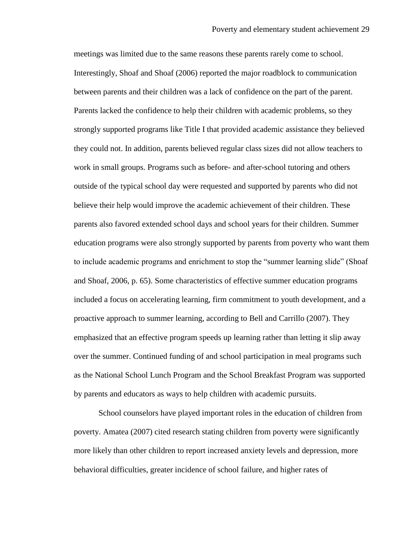meetings was limited due to the same reasons these parents rarely come to school. Interestingly, Shoaf and Shoaf (2006) reported the major roadblock to communication between parents and their children was a lack of confidence on the part of the parent. Parents lacked the confidence to help their children with academic problems, so they strongly supported programs like Title I that provided academic assistance they believed they could not. In addition, parents believed regular class sizes did not allow teachers to work in small groups. Programs such as before- and after-school tutoring and others outside of the typical school day were requested and supported by parents who did not believe their help would improve the academic achievement of their children. These parents also favored extended school days and school years for their children. Summer education programs were also strongly supported by parents from poverty who want them to include academic programs and enrichment to stop the "summer learning slide" (Shoaf and Shoaf, 2006, p. 65). Some characteristics of effective summer education programs included a focus on accelerating learning, firm commitment to youth development, and a proactive approach to summer learning, according to Bell and Carrillo (2007). They emphasized that an effective program speeds up learning rather than letting it slip away over the summer. Continued funding of and school participation in meal programs such as the National School Lunch Program and the School Breakfast Program was supported by parents and educators as ways to help children with academic pursuits.

School counselors have played important roles in the education of children from poverty. Amatea (2007) cited research stating children from poverty were significantly more likely than other children to report increased anxiety levels and depression, more behavioral difficulties, greater incidence of school failure, and higher rates of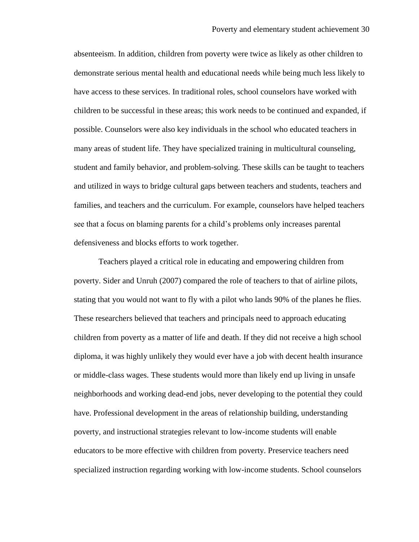absenteeism. In addition, children from poverty were twice as likely as other children to demonstrate serious mental health and educational needs while being much less likely to have access to these services. In traditional roles, school counselors have worked with children to be successful in these areas; this work needs to be continued and expanded, if possible. Counselors were also key individuals in the school who educated teachers in many areas of student life. They have specialized training in multicultural counseling, student and family behavior, and problem-solving. These skills can be taught to teachers and utilized in ways to bridge cultural gaps between teachers and students, teachers and families, and teachers and the curriculum. For example, counselors have helped teachers see that a focus on blaming parents for a child"s problems only increases parental defensiveness and blocks efforts to work together.

Teachers played a critical role in educating and empowering children from poverty. Sider and Unruh (2007) compared the role of teachers to that of airline pilots, stating that you would not want to fly with a pilot who lands 90% of the planes he flies. These researchers believed that teachers and principals need to approach educating children from poverty as a matter of life and death. If they did not receive a high school diploma, it was highly unlikely they would ever have a job with decent health insurance or middle-class wages. These students would more than likely end up living in unsafe neighborhoods and working dead-end jobs, never developing to the potential they could have. Professional development in the areas of relationship building, understanding poverty, and instructional strategies relevant to low-income students will enable educators to be more effective with children from poverty. Preservice teachers need specialized instruction regarding working with low-income students. School counselors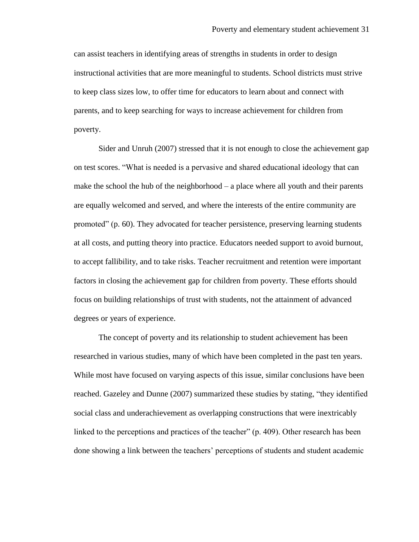can assist teachers in identifying areas of strengths in students in order to design instructional activities that are more meaningful to students. School districts must strive to keep class sizes low, to offer time for educators to learn about and connect with parents, and to keep searching for ways to increase achievement for children from poverty.

Sider and Unruh (2007) stressed that it is not enough to close the achievement gap on test scores. "What is needed is a pervasive and shared educational ideology that can make the school the hub of the neighborhood – a place where all youth and their parents are equally welcomed and served, and where the interests of the entire community are promoted" (p. 60). They advocated for teacher persistence, preserving learning students at all costs, and putting theory into practice. Educators needed support to avoid burnout, to accept fallibility, and to take risks. Teacher recruitment and retention were important factors in closing the achievement gap for children from poverty. These efforts should focus on building relationships of trust with students, not the attainment of advanced degrees or years of experience.

The concept of poverty and its relationship to student achievement has been researched in various studies, many of which have been completed in the past ten years. While most have focused on varying aspects of this issue, similar conclusions have been reached. Gazeley and Dunne (2007) summarized these studies by stating, "they identified social class and underachievement as overlapping constructions that were inextricably linked to the perceptions and practices of the teacher" (p. 409). Other research has been done showing a link between the teachers" perceptions of students and student academic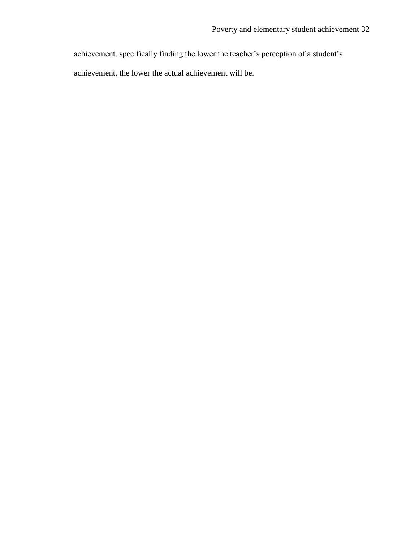achievement, specifically finding the lower the teacher"s perception of a student"s

achievement, the lower the actual achievement will be.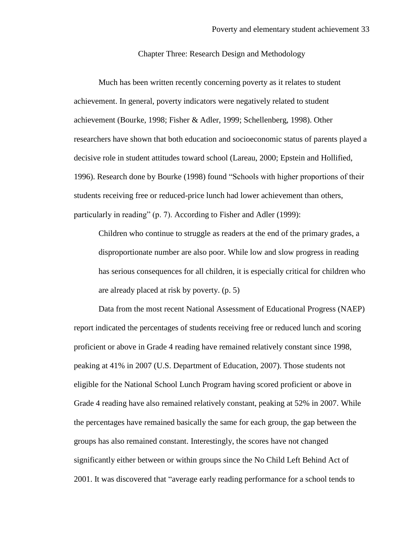#### Chapter Three: Research Design and Methodology

Much has been written recently concerning poverty as it relates to student achievement. In general, poverty indicators were negatively related to student achievement (Bourke, 1998; Fisher & Adler, 1999; Schellenberg, 1998). Other researchers have shown that both education and socioeconomic status of parents played a decisive role in student attitudes toward school (Lareau, 2000; Epstein and Hollified, 1996). Research done by Bourke (1998) found "Schools with higher proportions of their students receiving free or reduced-price lunch had lower achievement than others, particularly in reading" (p. 7). According to Fisher and Adler (1999):

Children who continue to struggle as readers at the end of the primary grades, a disproportionate number are also poor. While low and slow progress in reading has serious consequences for all children, it is especially critical for children who are already placed at risk by poverty. (p. 5)

Data from the most recent National Assessment of Educational Progress (NAEP) report indicated the percentages of students receiving free or reduced lunch and scoring proficient or above in Grade 4 reading have remained relatively constant since 1998, peaking at 41% in 2007 (U.S. Department of Education, 2007). Those students not eligible for the National School Lunch Program having scored proficient or above in Grade 4 reading have also remained relatively constant, peaking at 52% in 2007. While the percentages have remained basically the same for each group, the gap between the groups has also remained constant. Interestingly, the scores have not changed significantly either between or within groups since the No Child Left Behind Act of 2001. It was discovered that "average early reading performance for a school tends to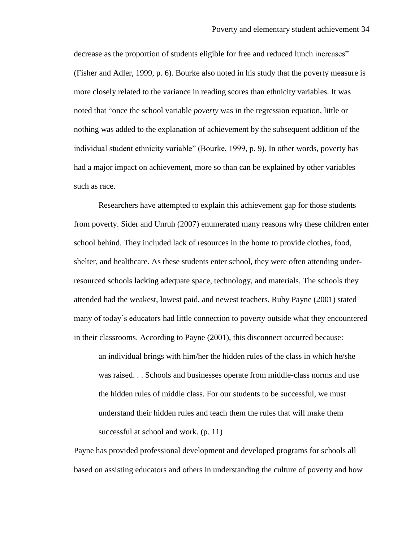decrease as the proportion of students eligible for free and reduced lunch increases" (Fisher and Adler, 1999, p. 6). Bourke also noted in his study that the poverty measure is more closely related to the variance in reading scores than ethnicity variables. It was noted that "once the school variable *poverty* was in the regression equation, little or nothing was added to the explanation of achievement by the subsequent addition of the individual student ethnicity variable" (Bourke, 1999, p. 9). In other words, poverty has had a major impact on achievement, more so than can be explained by other variables such as race.

Researchers have attempted to explain this achievement gap for those students from poverty. Sider and Unruh (2007) enumerated many reasons why these children enter school behind. They included lack of resources in the home to provide clothes, food, shelter, and healthcare. As these students enter school, they were often attending underresourced schools lacking adequate space, technology, and materials. The schools they attended had the weakest, lowest paid, and newest teachers. Ruby Payne (2001) stated many of today"s educators had little connection to poverty outside what they encountered in their classrooms. According to Payne (2001), this disconnect occurred because:

an individual brings with him/her the hidden rules of the class in which he/she was raised. . . Schools and businesses operate from middle-class norms and use the hidden rules of middle class. For our students to be successful, we must understand their hidden rules and teach them the rules that will make them successful at school and work. (p. 11)

Payne has provided professional development and developed programs for schools all based on assisting educators and others in understanding the culture of poverty and how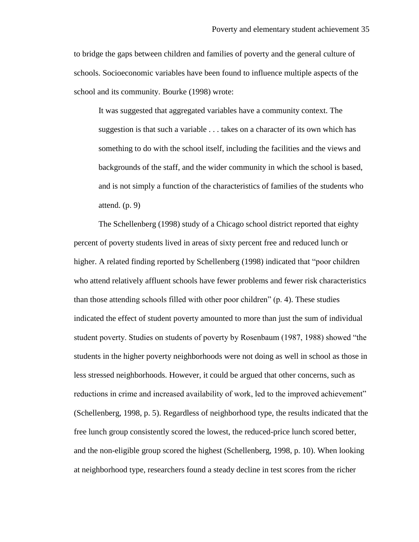to bridge the gaps between children and families of poverty and the general culture of schools. Socioeconomic variables have been found to influence multiple aspects of the school and its community. Bourke (1998) wrote:

It was suggested that aggregated variables have a community context. The suggestion is that such a variable . . . takes on a character of its own which has something to do with the school itself, including the facilities and the views and backgrounds of the staff, and the wider community in which the school is based, and is not simply a function of the characteristics of families of the students who attend.  $(p, 9)$ 

The Schellenberg (1998) study of a Chicago school district reported that eighty percent of poverty students lived in areas of sixty percent free and reduced lunch or higher. A related finding reported by Schellenberg (1998) indicated that "poor children who attend relatively affluent schools have fewer problems and fewer risk characteristics than those attending schools filled with other poor children" (p. 4). These studies indicated the effect of student poverty amounted to more than just the sum of individual student poverty. Studies on students of poverty by Rosenbaum (1987, 1988) showed "the students in the higher poverty neighborhoods were not doing as well in school as those in less stressed neighborhoods. However, it could be argued that other concerns, such as reductions in crime and increased availability of work, led to the improved achievement" (Schellenberg, 1998, p. 5). Regardless of neighborhood type, the results indicated that the free lunch group consistently scored the lowest, the reduced-price lunch scored better, and the non-eligible group scored the highest (Schellenberg, 1998, p. 10). When looking at neighborhood type, researchers found a steady decline in test scores from the richer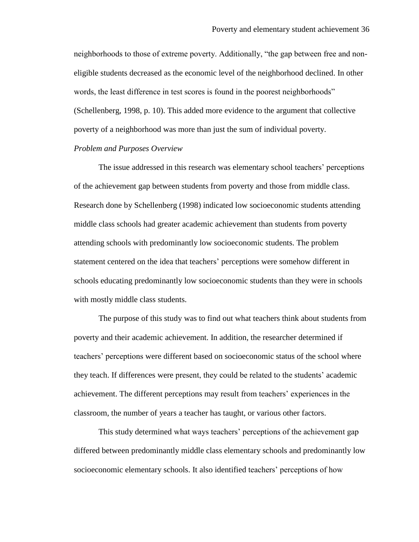neighborhoods to those of extreme poverty. Additionally, "the gap between free and noneligible students decreased as the economic level of the neighborhood declined. In other words, the least difference in test scores is found in the poorest neighborhoods" (Schellenberg, 1998, p. 10). This added more evidence to the argument that collective poverty of a neighborhood was more than just the sum of individual poverty.

### *Problem and Purposes Overview*

The issue addressed in this research was elementary school teachers" perceptions of the achievement gap between students from poverty and those from middle class. Research done by Schellenberg (1998) indicated low socioeconomic students attending middle class schools had greater academic achievement than students from poverty attending schools with predominantly low socioeconomic students. The problem statement centered on the idea that teachers" perceptions were somehow different in schools educating predominantly low socioeconomic students than they were in schools with mostly middle class students.

The purpose of this study was to find out what teachers think about students from poverty and their academic achievement. In addition, the researcher determined if teachers" perceptions were different based on socioeconomic status of the school where they teach. If differences were present, they could be related to the students" academic achievement. The different perceptions may result from teachers" experiences in the classroom, the number of years a teacher has taught, or various other factors.

This study determined what ways teachers" perceptions of the achievement gap differed between predominantly middle class elementary schools and predominantly low socioeconomic elementary schools. It also identified teachers" perceptions of how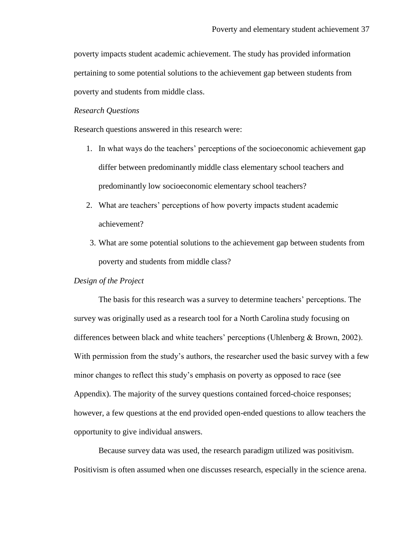poverty impacts student academic achievement. The study has provided information pertaining to some potential solutions to the achievement gap between students from poverty and students from middle class.

### *Research Questions*

Research questions answered in this research were:

- 1. In what ways do the teachers" perceptions of the socioeconomic achievement gap differ between predominantly middle class elementary school teachers and predominantly low socioeconomic elementary school teachers?
- 2. What are teachers' perceptions of how poverty impacts student academic achievement?
- 3. What are some potential solutions to the achievement gap between students from poverty and students from middle class?

### *Design of the Project*

The basis for this research was a survey to determine teachers" perceptions. The survey was originally used as a research tool for a North Carolina study focusing on differences between black and white teachers" perceptions (Uhlenberg & Brown, 2002). With permission from the study's authors, the researcher used the basic survey with a few minor changes to reflect this study"s emphasis on poverty as opposed to race (see Appendix). The majority of the survey questions contained forced-choice responses; however, a few questions at the end provided open-ended questions to allow teachers the opportunity to give individual answers.

Because survey data was used, the research paradigm utilized was positivism. Positivism is often assumed when one discusses research, especially in the science arena.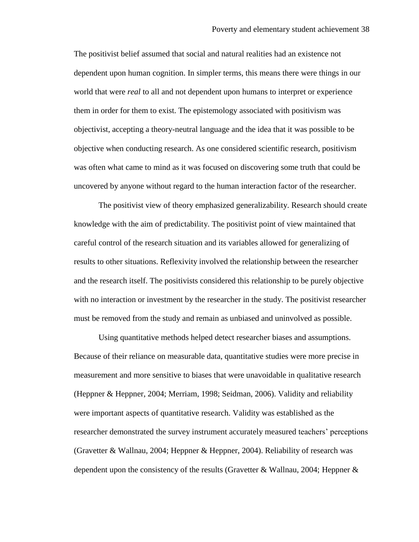The positivist belief assumed that social and natural realities had an existence not dependent upon human cognition. In simpler terms, this means there were things in our world that were *real* to all and not dependent upon humans to interpret or experience them in order for them to exist. The epistemology associated with positivism was objectivist, accepting a theory-neutral language and the idea that it was possible to be objective when conducting research. As one considered scientific research, positivism was often what came to mind as it was focused on discovering some truth that could be uncovered by anyone without regard to the human interaction factor of the researcher.

The positivist view of theory emphasized generalizability. Research should create knowledge with the aim of predictability. The positivist point of view maintained that careful control of the research situation and its variables allowed for generalizing of results to other situations. Reflexivity involved the relationship between the researcher and the research itself. The positivists considered this relationship to be purely objective with no interaction or investment by the researcher in the study. The positivist researcher must be removed from the study and remain as unbiased and uninvolved as possible.

Using quantitative methods helped detect researcher biases and assumptions. Because of their reliance on measurable data, quantitative studies were more precise in measurement and more sensitive to biases that were unavoidable in qualitative research (Heppner & Heppner, 2004; Merriam, 1998; Seidman, 2006). Validity and reliability were important aspects of quantitative research. Validity was established as the researcher demonstrated the survey instrument accurately measured teachers" perceptions (Gravetter & Wallnau, 2004; Heppner & Heppner, 2004). Reliability of research was dependent upon the consistency of the results (Gravetter & Wallnau, 2004; Heppner &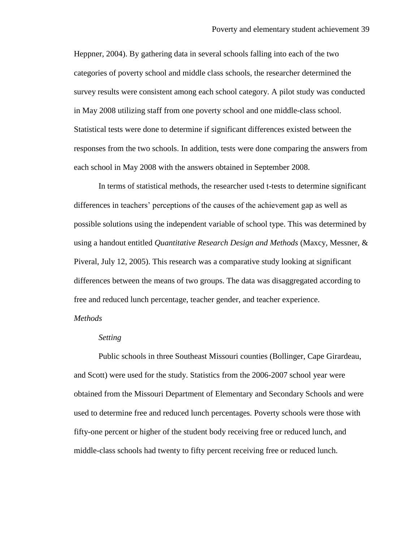Heppner, 2004). By gathering data in several schools falling into each of the two categories of poverty school and middle class schools, the researcher determined the survey results were consistent among each school category. A pilot study was conducted in May 2008 utilizing staff from one poverty school and one middle-class school. Statistical tests were done to determine if significant differences existed between the responses from the two schools. In addition, tests were done comparing the answers from each school in May 2008 with the answers obtained in September 2008.

In terms of statistical methods, the researcher used t-tests to determine significant differences in teachers" perceptions of the causes of the achievement gap as well as possible solutions using the independent variable of school type. This was determined by using a handout entitled *Quantitative Research Design and Methods* (Maxcy, Messner, & Piveral, July 12, 2005). This research was a comparative study looking at significant differences between the means of two groups. The data was disaggregated according to free and reduced lunch percentage, teacher gender, and teacher experience.

#### *Methods*

#### *Setting*

Public schools in three Southeast Missouri counties (Bollinger, Cape Girardeau, and Scott) were used for the study. Statistics from the 2006-2007 school year were obtained from the Missouri Department of Elementary and Secondary Schools and were used to determine free and reduced lunch percentages. Poverty schools were those with fifty-one percent or higher of the student body receiving free or reduced lunch, and middle-class schools had twenty to fifty percent receiving free or reduced lunch.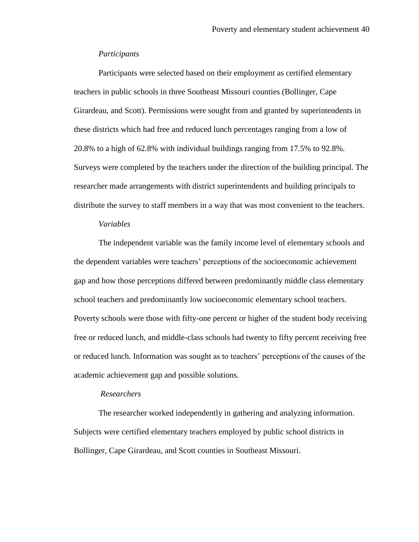#### *Participants*

Participants were selected based on their employment as certified elementary teachers in public schools in three Southeast Missouri counties (Bollinger, Cape Girardeau, and Scott). Permissions were sought from and granted by superintendents in these districts which had free and reduced lunch percentages ranging from a low of 20.8% to a high of 62.8% with individual buildings ranging from 17.5% to 92.8%. Surveys were completed by the teachers under the direction of the building principal. The researcher made arrangements with district superintendents and building principals to distribute the survey to staff members in a way that was most convenient to the teachers.

### *Variables*

The independent variable was the family income level of elementary schools and the dependent variables were teachers" perceptions of the socioeconomic achievement gap and how those perceptions differed between predominantly middle class elementary school teachers and predominantly low socioeconomic elementary school teachers. Poverty schools were those with fifty-one percent or higher of the student body receiving free or reduced lunch, and middle-class schools had twenty to fifty percent receiving free or reduced lunch. Information was sought as to teachers" perceptions of the causes of the academic achievement gap and possible solutions.

#### *Researchers*

The researcher worked independently in gathering and analyzing information. Subjects were certified elementary teachers employed by public school districts in Bollinger, Cape Girardeau, and Scott counties in Southeast Missouri.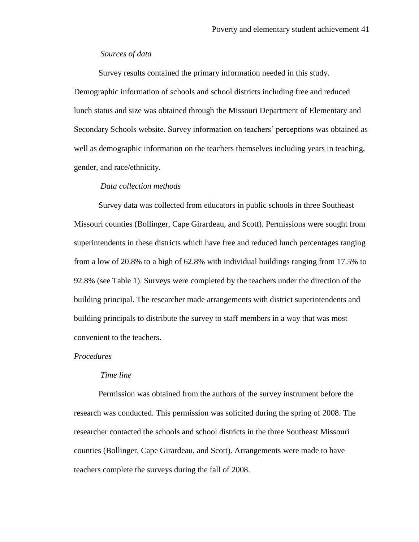### *Sources of data*

Survey results contained the primary information needed in this study. Demographic information of schools and school districts including free and reduced lunch status and size was obtained through the Missouri Department of Elementary and Secondary Schools website. Survey information on teachers' perceptions was obtained as well as demographic information on the teachers themselves including years in teaching, gender, and race/ethnicity.

### *Data collection methods*

Survey data was collected from educators in public schools in three Southeast Missouri counties (Bollinger, Cape Girardeau, and Scott). Permissions were sought from superintendents in these districts which have free and reduced lunch percentages ranging from a low of 20.8% to a high of 62.8% with individual buildings ranging from 17.5% to 92.8% (see Table 1). Surveys were completed by the teachers under the direction of the building principal. The researcher made arrangements with district superintendents and building principals to distribute the survey to staff members in a way that was most convenient to the teachers.

#### *Procedures*

#### *Time line*

Permission was obtained from the authors of the survey instrument before the research was conducted. This permission was solicited during the spring of 2008. The researcher contacted the schools and school districts in the three Southeast Missouri counties (Bollinger, Cape Girardeau, and Scott). Arrangements were made to have teachers complete the surveys during the fall of 2008.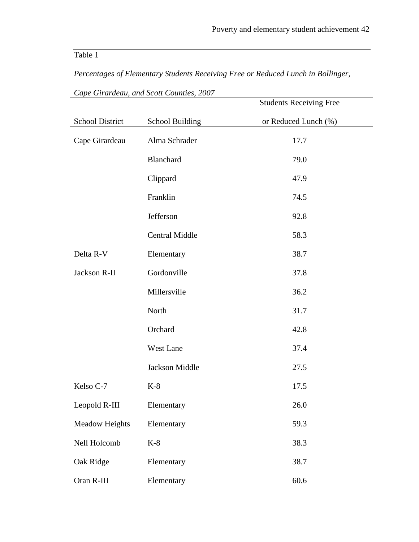# Table 1

*Percentages of Elementary Students Receiving Free or Reduced Lunch in Bollinger,* 

|                 |                        | <b>Students Receiving Free</b> |
|-----------------|------------------------|--------------------------------|
| School District | <b>School Building</b> | or Reduced Lunch (%)           |
| Cape Girardeau  | Alma Schrader          | 17.7                           |
|                 | Blanchard              | 79.0                           |
|                 | Clippard               | 47.9                           |
|                 | Franklin               | 74.5                           |
|                 | Jefferson              | 92.8                           |
|                 | <b>Central Middle</b>  | 58.3                           |
| Delta R-V       | Elementary             | 38.7                           |
| Jackson R-II    | Gordonville            | 37.8                           |
|                 | Millersville           | 36.2                           |
|                 | North                  | 31.7                           |
|                 | Orchard                | 42.8                           |
|                 | West Lane              | 37.4                           |
|                 | <b>Jackson Middle</b>  | 27.5                           |
| Kelso C-7       | $K-8$                  | 17.5                           |
| Leopold R-III   | Elementary             | 26.0                           |
| Meadow Heights  | Elementary             | 59.3                           |
| Nell Holcomb    | $K-8$                  | 38.3                           |
| Oak Ridge       | Elementary             | 38.7                           |
| Oran R-III      | Elementary             | $60.6\,$                       |

*Cape Girardeau, and Scott Counties, 2007*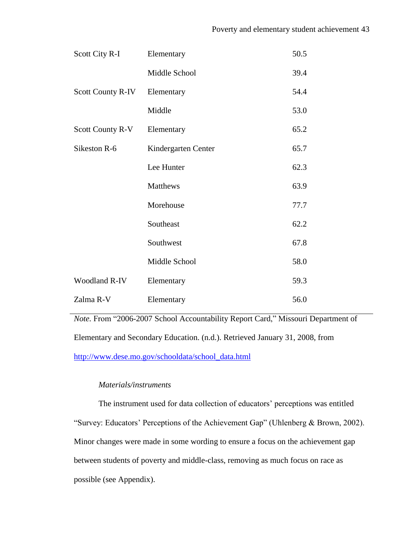| Scott City R-I          | Elementary          | 50.5 |
|-------------------------|---------------------|------|
|                         | Middle School       | 39.4 |
| Scott County R-IV       | Elementary          | 54.4 |
|                         | Middle              | 53.0 |
| <b>Scott County R-V</b> | Elementary          | 65.2 |
| Sikeston R-6            | Kindergarten Center | 65.7 |
|                         | Lee Hunter          | 62.3 |
|                         | Matthews            | 63.9 |
|                         | Morehouse           | 77.7 |
|                         | Southeast           | 62.2 |
|                         | Southwest           | 67.8 |
|                         | Middle School       | 58.0 |
| Woodland R-IV           | Elementary          | 59.3 |
| Zalma R-V               | Elementary          | 56.0 |

*Note.* From "2006-2007 School Accountability Report Card," Missouri Department of Elementary and Secondary Education. (n.d.). Retrieved January 31, 2008, from [http://www.dese.mo.gov/schooldata/school\\_data.html](http://www.dese.mo.gov/schooldata/school_data.html)

### *Materials/instruments*

The instrument used for data collection of educators' perceptions was entitled "Survey: Educators" Perceptions of the Achievement Gap" (Uhlenberg & Brown, 2002). Minor changes were made in some wording to ensure a focus on the achievement gap between students of poverty and middle-class, removing as much focus on race as possible (see Appendix).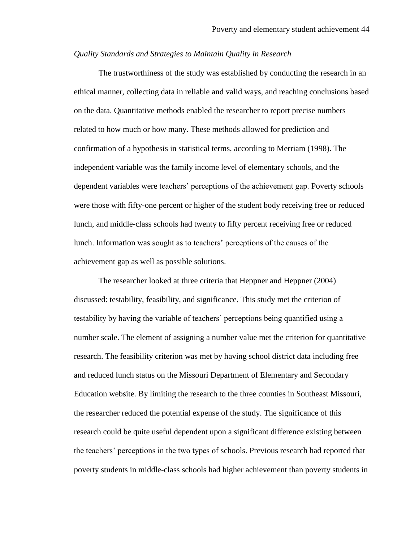### *Quality Standards and Strategies to Maintain Quality in Research*

The trustworthiness of the study was established by conducting the research in an ethical manner, collecting data in reliable and valid ways, and reaching conclusions based on the data. Quantitative methods enabled the researcher to report precise numbers related to how much or how many. These methods allowed for prediction and confirmation of a hypothesis in statistical terms, according to Merriam (1998). The independent variable was the family income level of elementary schools, and the dependent variables were teachers" perceptions of the achievement gap. Poverty schools were those with fifty-one percent or higher of the student body receiving free or reduced lunch, and middle-class schools had twenty to fifty percent receiving free or reduced lunch. Information was sought as to teachers" perceptions of the causes of the achievement gap as well as possible solutions.

The researcher looked at three criteria that Heppner and Heppner (2004) discussed: testability, feasibility, and significance. This study met the criterion of testability by having the variable of teachers" perceptions being quantified using a number scale. The element of assigning a number value met the criterion for quantitative research. The feasibility criterion was met by having school district data including free and reduced lunch status on the Missouri Department of Elementary and Secondary Education website. By limiting the research to the three counties in Southeast Missouri, the researcher reduced the potential expense of the study. The significance of this research could be quite useful dependent upon a significant difference existing between the teachers" perceptions in the two types of schools. Previous research had reported that poverty students in middle-class schools had higher achievement than poverty students in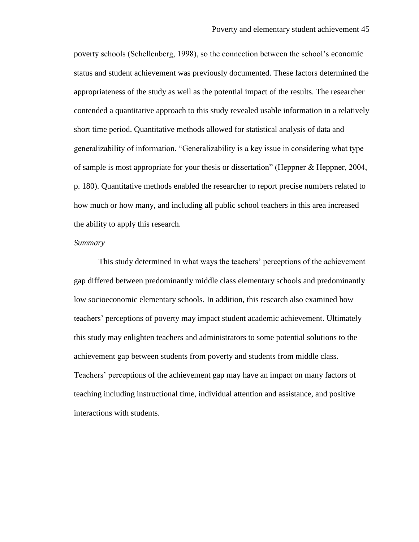poverty schools (Schellenberg, 1998), so the connection between the school"s economic status and student achievement was previously documented. These factors determined the appropriateness of the study as well as the potential impact of the results. The researcher contended a quantitative approach to this study revealed usable information in a relatively short time period. Quantitative methods allowed for statistical analysis of data and generalizability of information. "Generalizability is a key issue in considering what type of sample is most appropriate for your thesis or dissertation" (Heppner & Heppner, 2004, p. 180). Quantitative methods enabled the researcher to report precise numbers related to how much or how many, and including all public school teachers in this area increased the ability to apply this research.

#### *Summary*

This study determined in what ways the teachers' perceptions of the achievement gap differed between predominantly middle class elementary schools and predominantly low socioeconomic elementary schools. In addition, this research also examined how teachers" perceptions of poverty may impact student academic achievement. Ultimately this study may enlighten teachers and administrators to some potential solutions to the achievement gap between students from poverty and students from middle class. Teachers" perceptions of the achievement gap may have an impact on many factors of teaching including instructional time, individual attention and assistance, and positive interactions with students.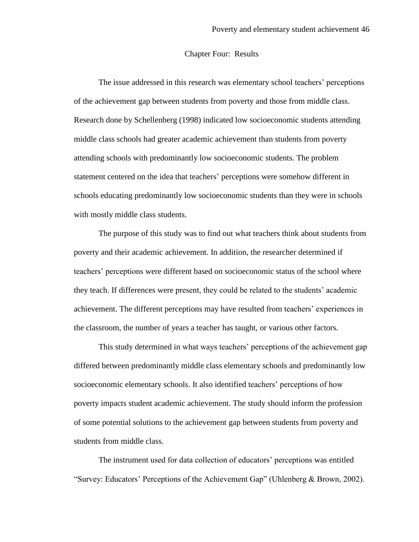### Chapter Four: Results

The issue addressed in this research was elementary school teachers" perceptions of the achievement gap between students from poverty and those from middle class. Research done by Schellenberg (1998) indicated low socioeconomic students attending middle class schools had greater academic achievement than students from poverty attending schools with predominantly low socioeconomic students. The problem statement centered on the idea that teachers" perceptions were somehow different in schools educating predominantly low socioeconomic students than they were in schools with mostly middle class students.

The purpose of this study was to find out what teachers think about students from poverty and their academic achievement. In addition, the researcher determined if teachers" perceptions were different based on socioeconomic status of the school where they teach. If differences were present, they could be related to the students" academic achievement. The different perceptions may have resulted from teachers" experiences in the classroom, the number of years a teacher has taught, or various other factors.

This study determined in what ways teachers' perceptions of the achievement gap differed between predominantly middle class elementary schools and predominantly low socioeconomic elementary schools. It also identified teachers" perceptions of how poverty impacts student academic achievement. The study should inform the profession of some potential solutions to the achievement gap between students from poverty and students from middle class.

The instrument used for data collection of educators' perceptions was entitled "Survey: Educators" Perceptions of the Achievement Gap" (Uhlenberg & Brown, 2002).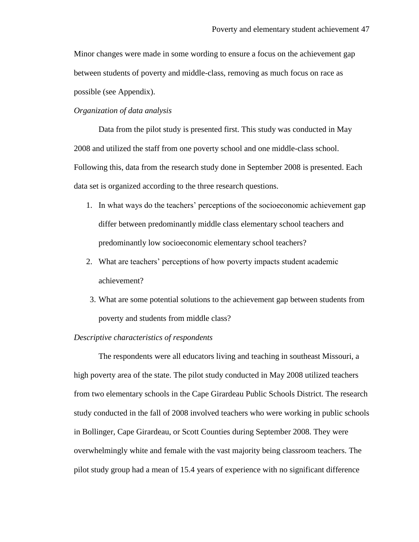Minor changes were made in some wording to ensure a focus on the achievement gap between students of poverty and middle-class, removing as much focus on race as possible (see Appendix).

### *Organization of data analysis*

Data from the pilot study is presented first. This study was conducted in May 2008 and utilized the staff from one poverty school and one middle-class school. Following this, data from the research study done in September 2008 is presented. Each data set is organized according to the three research questions.

- 1. In what ways do the teachers" perceptions of the socioeconomic achievement gap differ between predominantly middle class elementary school teachers and predominantly low socioeconomic elementary school teachers?
- 2. What are teachers" perceptions of how poverty impacts student academic achievement?
- 3. What are some potential solutions to the achievement gap between students from poverty and students from middle class?

#### *Descriptive characteristics of respondents*

The respondents were all educators living and teaching in southeast Missouri, a high poverty area of the state. The pilot study conducted in May 2008 utilized teachers from two elementary schools in the Cape Girardeau Public Schools District. The research study conducted in the fall of 2008 involved teachers who were working in public schools in Bollinger, Cape Girardeau, or Scott Counties during September 2008. They were overwhelmingly white and female with the vast majority being classroom teachers. The pilot study group had a mean of 15.4 years of experience with no significant difference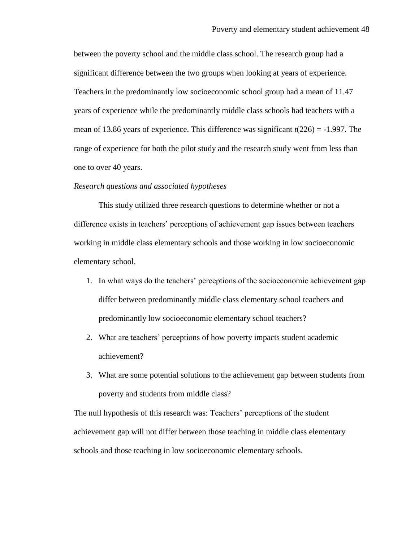between the poverty school and the middle class school. The research group had a significant difference between the two groups when looking at years of experience. Teachers in the predominantly low socioeconomic school group had a mean of 11.47 years of experience while the predominantly middle class schools had teachers with a mean of 13.86 years of experience. This difference was significant *t*(226) = -1.997. The range of experience for both the pilot study and the research study went from less than one to over 40 years.

### *Research questions and associated hypotheses*

This study utilized three research questions to determine whether or not a difference exists in teachers" perceptions of achievement gap issues between teachers working in middle class elementary schools and those working in low socioeconomic elementary school.

- 1. In what ways do the teachers" perceptions of the socioeconomic achievement gap differ between predominantly middle class elementary school teachers and predominantly low socioeconomic elementary school teachers?
- 2. What are teachers" perceptions of how poverty impacts student academic achievement?
- 3. What are some potential solutions to the achievement gap between students from poverty and students from middle class?

The null hypothesis of this research was: Teachers' perceptions of the student achievement gap will not differ between those teaching in middle class elementary schools and those teaching in low socioeconomic elementary schools.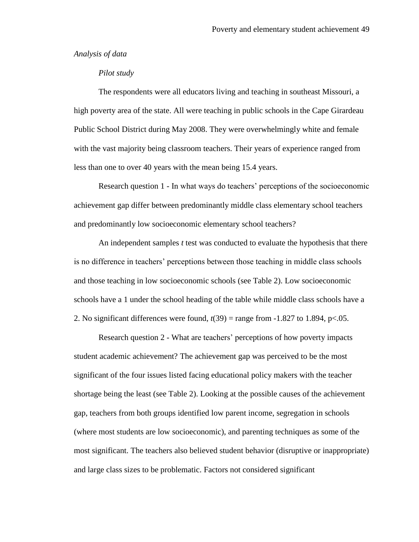*Analysis of data*

### *Pilot study*

The respondents were all educators living and teaching in southeast Missouri, a high poverty area of the state. All were teaching in public schools in the Cape Girardeau Public School District during May 2008. They were overwhelmingly white and female with the vast majority being classroom teachers. Their years of experience ranged from less than one to over 40 years with the mean being 15.4 years.

Research question 1 - In what ways do teachers" perceptions of the socioeconomic achievement gap differ between predominantly middle class elementary school teachers and predominantly low socioeconomic elementary school teachers?

An independent samples *t* test was conducted to evaluate the hypothesis that there is no difference in teachers" perceptions between those teaching in middle class schools and those teaching in low socioeconomic schools (see Table 2). Low socioeconomic schools have a 1 under the school heading of the table while middle class schools have a 2. No significant differences were found,  $t(39)$  = range from -1.827 to 1.894, p<.05.

Research question 2 - What are teachers' perceptions of how poverty impacts student academic achievement? The achievement gap was perceived to be the most significant of the four issues listed facing educational policy makers with the teacher shortage being the least (see Table 2). Looking at the possible causes of the achievement gap, teachers from both groups identified low parent income, segregation in schools (where most students are low socioeconomic), and parenting techniques as some of the most significant. The teachers also believed student behavior (disruptive or inappropriate) and large class sizes to be problematic. Factors not considered significant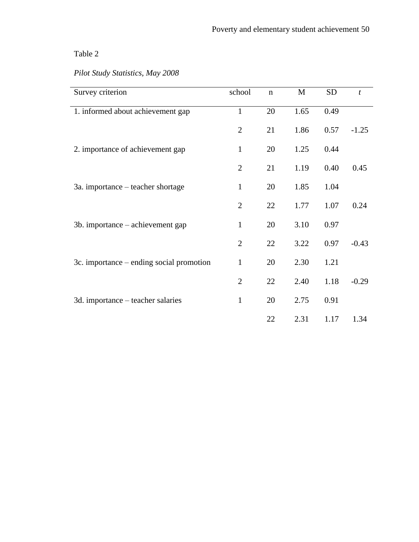## Table 2

| Survey criterion                         | school         | $\mathbf n$ | $\mathbf{M}$ | <b>SD</b> | $\boldsymbol{t}$ |
|------------------------------------------|----------------|-------------|--------------|-----------|------------------|
| 1. informed about achievement gap        | $\mathbf{1}$   | 20          | 1.65         | 0.49      |                  |
|                                          | $\overline{2}$ | 21          | 1.86         | 0.57      | $-1.25$          |
| 2. importance of achievement gap         | $\mathbf{1}$   | 20          | 1.25         | 0.44      |                  |
|                                          | $\overline{2}$ | 21          | 1.19         | 0.40      | 0.45             |
| 3a. importance – teacher shortage        | $\mathbf{1}$   | 20          | 1.85         | 1.04      |                  |
|                                          | $\overline{2}$ | 22          | 1.77         | 1.07      | 0.24             |
| 3b. importance – achievement gap         | $\mathbf{1}$   | 20          | 3.10         | 0.97      |                  |
|                                          | $\overline{2}$ | 22          | 3.22         | 0.97      | $-0.43$          |
| 3c. importance – ending social promotion | $\mathbf{1}$   | 20          | 2.30         | 1.21      |                  |
|                                          | $\overline{2}$ | 22          | 2.40         | 1.18      | $-0.29$          |
| 3d. importance – teacher salaries        | $\mathbf{1}$   | 20          | 2.75         | 0.91      |                  |
|                                          |                | 22          | 2.31         | 1.17      | 1.34             |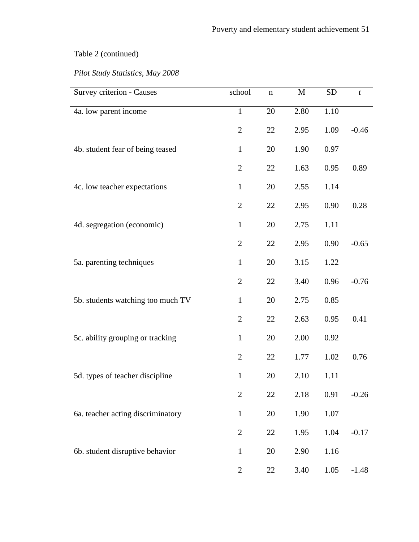| Survey criterion - Causes         | school         | $\mathbf n$ | M    | <b>SD</b> | $\boldsymbol{t}$ |
|-----------------------------------|----------------|-------------|------|-----------|------------------|
| 4a. low parent income             | $\mathbf{1}$   | 20          | 2.80 | 1.10      |                  |
|                                   | $\overline{2}$ | 22          | 2.95 | 1.09      | $-0.46$          |
| 4b. student fear of being teased  | $\mathbf{1}$   | 20          | 1.90 | 0.97      |                  |
|                                   | $\overline{2}$ | 22          | 1.63 | 0.95      | 0.89             |
| 4c. low teacher expectations      | $\mathbf{1}$   | 20          | 2.55 | 1.14      |                  |
|                                   | $\overline{2}$ | 22          | 2.95 | 0.90      | 0.28             |
| 4d. segregation (economic)        | $\mathbf{1}$   | 20          | 2.75 | 1.11      |                  |
|                                   | $\overline{2}$ | 22          | 2.95 | 0.90      | $-0.65$          |
| 5a. parenting techniques          | $\mathbf{1}$   | 20          | 3.15 | 1.22      |                  |
|                                   | $\overline{2}$ | 22          | 3.40 | 0.96      | $-0.76$          |
| 5b. students watching too much TV | $\mathbf{1}$   | 20          | 2.75 | 0.85      |                  |
|                                   | $\overline{2}$ | 22          | 2.63 | 0.95      | 0.41             |
| 5c. ability grouping or tracking  | $\mathbf{1}$   | 20          | 2.00 | 0.92      |                  |
|                                   | $\overline{2}$ | 22          | 1.77 | 1.02      | 0.76             |
| 5d. types of teacher discipline   | $\mathbf{1}$   | 20          | 2.10 | 1.11      |                  |
|                                   | $\overline{2}$ | 22          | 2.18 | 0.91      | $-0.26$          |
| 6a. teacher acting discriminatory | $\mathbf{1}$   | 20          | 1.90 | 1.07      |                  |
|                                   | $\mathbf{2}$   | 22          | 1.95 | 1.04      | $-0.17$          |
| 6b. student disruptive behavior   | $\mathbf{1}$   | 20          | 2.90 | 1.16      |                  |
|                                   | $\overline{2}$ | 22          | 3.40 | 1.05      | $-1.48$          |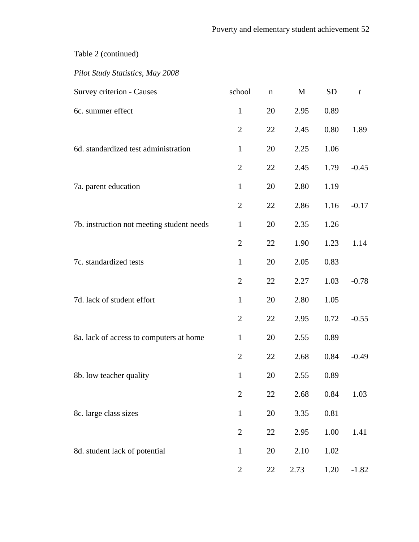| Survey criterion - Causes                 | school         | $\mathbf n$ | M    | <b>SD</b> | $\boldsymbol{t}$ |
|-------------------------------------------|----------------|-------------|------|-----------|------------------|
| 6c. summer effect                         | $\mathbf{1}$   | 20          | 2.95 | 0.89      |                  |
|                                           | $\overline{2}$ | 22          | 2.45 | 0.80      | 1.89             |
| 6d. standardized test administration      | $\mathbf{1}$   | 20          | 2.25 | 1.06      |                  |
|                                           | $\overline{2}$ | 22          | 2.45 | 1.79      | $-0.45$          |
| 7a. parent education                      | $\mathbf{1}$   | 20          | 2.80 | 1.19      |                  |
|                                           | $\overline{2}$ | 22          | 2.86 | 1.16      | $-0.17$          |
| 7b. instruction not meeting student needs | $\mathbf{1}$   | 20          | 2.35 | 1.26      |                  |
|                                           | $\overline{2}$ | 22          | 1.90 | 1.23      | 1.14             |
| 7c. standardized tests                    | $\mathbf{1}$   | 20          | 2.05 | 0.83      |                  |
|                                           | $\overline{2}$ | 22          | 2.27 | 1.03      | $-0.78$          |
| 7d. lack of student effort                | $\mathbf{1}$   | 20          | 2.80 | 1.05      |                  |
|                                           | $\overline{2}$ | 22          | 2.95 | 0.72      | $-0.55$          |
| 8a. lack of access to computers at home   | $\mathbf{1}$   | 20          | 2.55 | 0.89      |                  |
|                                           | $\overline{2}$ | 22          | 2.68 | 0.84      | $-0.49$          |
| 8b. low teacher quality                   | $\mathbf{1}$   | 20          | 2.55 | 0.89      |                  |
|                                           | $\overline{2}$ | 22          | 2.68 | 0.84      | 1.03             |
| 8c. large class sizes                     | $\mathbf{1}$   | 20          | 3.35 | 0.81      |                  |
|                                           | $\overline{2}$ | 22          | 2.95 | 1.00      | 1.41             |
| 8d. student lack of potential             | $\mathbf{1}$   | 20          | 2.10 | 1.02      |                  |
|                                           | $\mathbf{2}$   | 22          | 2.73 | 1.20      | $-1.82$          |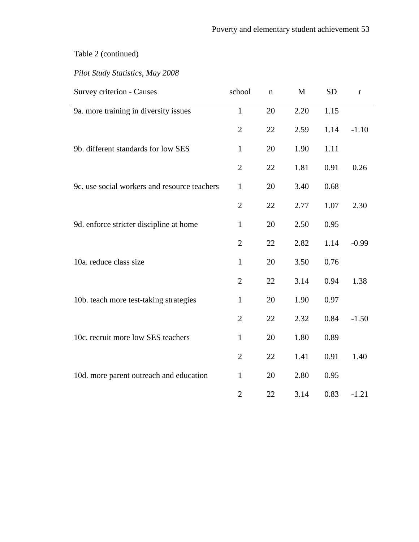| Survey criterion - Causes                    | school         | n  | M    | <b>SD</b> | $\boldsymbol{t}$ |
|----------------------------------------------|----------------|----|------|-----------|------------------|
| 9a. more training in diversity issues        | $\mathbf{1}$   | 20 | 2.20 | 1.15      |                  |
|                                              | $\overline{2}$ | 22 | 2.59 | 1.14      | $-1.10$          |
| 9b. different standards for low SES          | $\mathbf{1}$   | 20 | 1.90 | 1.11      |                  |
|                                              | $\overline{2}$ | 22 | 1.81 | 0.91      | 0.26             |
| 9c. use social workers and resource teachers | $\mathbf{1}$   | 20 | 3.40 | 0.68      |                  |
|                                              | $\overline{2}$ | 22 | 2.77 | 1.07      | 2.30             |
| 9d. enforce stricter discipline at home      | $\mathbf{1}$   | 20 | 2.50 | 0.95      |                  |
|                                              | $\overline{2}$ | 22 | 2.82 | 1.14      | $-0.99$          |
| 10a. reduce class size                       | $\mathbf{1}$   | 20 | 3.50 | 0.76      |                  |
|                                              | $\overline{2}$ | 22 | 3.14 | 0.94      | 1.38             |
| 10b. teach more test-taking strategies       | $\mathbf{1}$   | 20 | 1.90 | 0.97      |                  |
|                                              | $\overline{2}$ | 22 | 2.32 | 0.84      | $-1.50$          |
| 10c. recruit more low SES teachers           | $\mathbf{1}$   | 20 | 1.80 | 0.89      |                  |
|                                              | $\overline{2}$ | 22 | 1.41 | 0.91      | 1.40             |
| 10d. more parent outreach and education      | $\mathbf{1}$   | 20 | 2.80 | 0.95      |                  |
|                                              | $\overline{2}$ | 22 | 3.14 | 0.83      | $-1.21$          |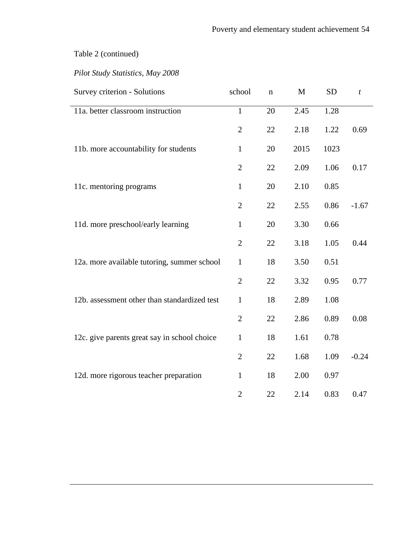| Survey criterion - Solutions                 | school         | n  | M    | <b>SD</b> | t       |
|----------------------------------------------|----------------|----|------|-----------|---------|
| 11a. better classroom instruction            | $\mathbf{1}$   | 20 | 2.45 | 1.28      |         |
|                                              | $\overline{2}$ | 22 | 2.18 | 1.22      | 0.69    |
| 11b. more accountability for students        | $\mathbf{1}$   | 20 | 2015 | 1023      |         |
|                                              | $\overline{2}$ | 22 | 2.09 | 1.06      | 0.17    |
| 11c. mentoring programs                      | $\mathbf{1}$   | 20 | 2.10 | 0.85      |         |
|                                              | $\mathbf{2}$   | 22 | 2.55 | 0.86      | $-1.67$ |
| 11d. more preschool/early learning           | $\mathbf{1}$   | 20 | 3.30 | 0.66      |         |
|                                              | $\overline{2}$ | 22 | 3.18 | 1.05      | 0.44    |
| 12a. more available tutoring, summer school  | $\mathbf{1}$   | 18 | 3.50 | 0.51      |         |
|                                              | $\overline{2}$ | 22 | 3.32 | 0.95      | 0.77    |
| 12b. assessment other than standardized test | $\mathbf{1}$   | 18 | 2.89 | 1.08      |         |
|                                              | $\overline{2}$ | 22 | 2.86 | 0.89      | 0.08    |
| 12c. give parents great say in school choice | $\mathbf{1}$   | 18 | 1.61 | 0.78      |         |
|                                              | $\overline{2}$ | 22 | 1.68 | 1.09      | $-0.24$ |
| 12d. more rigorous teacher preparation       | $\mathbf{1}$   | 18 | 2.00 | 0.97      |         |
|                                              | $\overline{2}$ | 22 | 2.14 | 0.83      | 0.47    |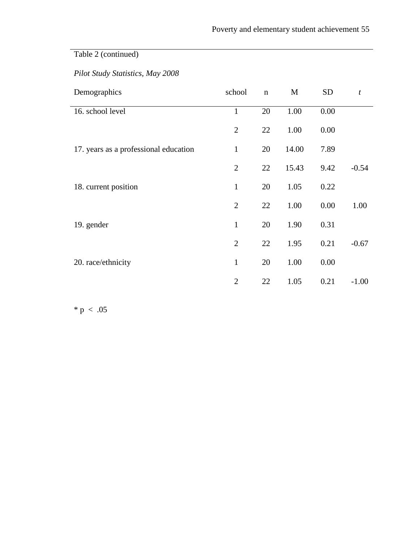## *Pilot Study Statistics, May 2008*

| Demographics                          | school         | $\mathbf n$ | M     | <b>SD</b> | t       |
|---------------------------------------|----------------|-------------|-------|-----------|---------|
| 16. school level                      | $\mathbf{1}$   | 20          | 1.00  | 0.00      |         |
|                                       | $\overline{2}$ | 22          | 1.00  | 0.00      |         |
| 17. years as a professional education | $\mathbf{1}$   | 20          | 14.00 | 7.89      |         |
|                                       | $\overline{2}$ | 22          | 15.43 | 9.42      | $-0.54$ |
| 18. current position                  | $\mathbf{1}$   | 20          | 1.05  | 0.22      |         |
|                                       | $\overline{2}$ | 22          | 1.00  | 0.00      | 1.00    |
| 19. gender                            | $\mathbf{1}$   | 20          | 1.90  | 0.31      |         |
|                                       | $\overline{2}$ | 22          | 1.95  | 0.21      | $-0.67$ |
| 20. race/ethnicity                    | 1              | 20          | 1.00  | 0.00      |         |
|                                       | $\overline{2}$ | 22          | 1.05  | 0.21      | $-1.00$ |

 $* p < .05$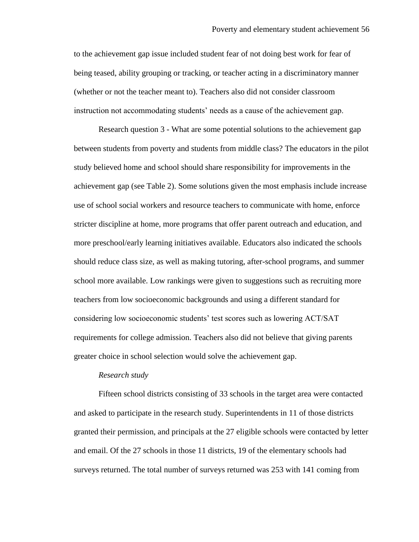to the achievement gap issue included student fear of not doing best work for fear of being teased, ability grouping or tracking, or teacher acting in a discriminatory manner (whether or not the teacher meant to). Teachers also did not consider classroom instruction not accommodating students" needs as a cause of the achievement gap.

Research question 3 - What are some potential solutions to the achievement gap between students from poverty and students from middle class? The educators in the pilot study believed home and school should share responsibility for improvements in the achievement gap (see Table 2). Some solutions given the most emphasis include increase use of school social workers and resource teachers to communicate with home, enforce stricter discipline at home, more programs that offer parent outreach and education, and more preschool/early learning initiatives available. Educators also indicated the schools should reduce class size, as well as making tutoring, after-school programs, and summer school more available. Low rankings were given to suggestions such as recruiting more teachers from low socioeconomic backgrounds and using a different standard for considering low socioeconomic students" test scores such as lowering ACT/SAT requirements for college admission. Teachers also did not believe that giving parents greater choice in school selection would solve the achievement gap.

#### *Research study*

Fifteen school districts consisting of 33 schools in the target area were contacted and asked to participate in the research study. Superintendents in 11 of those districts granted their permission, and principals at the 27 eligible schools were contacted by letter and email. Of the 27 schools in those 11 districts, 19 of the elementary schools had surveys returned. The total number of surveys returned was 253 with 141 coming from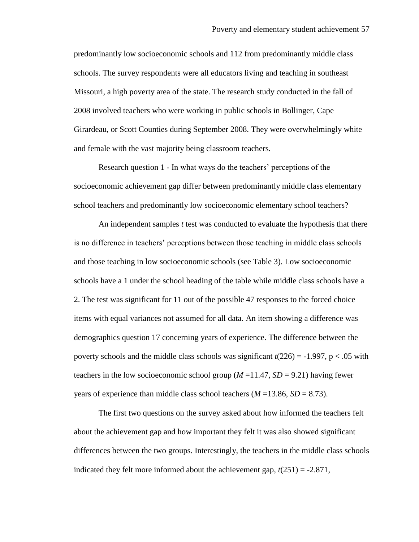predominantly low socioeconomic schools and 112 from predominantly middle class schools. The survey respondents were all educators living and teaching in southeast Missouri, a high poverty area of the state. The research study conducted in the fall of 2008 involved teachers who were working in public schools in Bollinger, Cape Girardeau, or Scott Counties during September 2008. They were overwhelmingly white and female with the vast majority being classroom teachers.

Research question 1 - In what ways do the teachers' perceptions of the socioeconomic achievement gap differ between predominantly middle class elementary school teachers and predominantly low socioeconomic elementary school teachers?

An independent samples *t* test was conducted to evaluate the hypothesis that there is no difference in teachers' perceptions between those teaching in middle class schools and those teaching in low socioeconomic schools (see Table 3). Low socioeconomic schools have a 1 under the school heading of the table while middle class schools have a 2. The test was significant for 11 out of the possible 47 responses to the forced choice items with equal variances not assumed for all data. An item showing a difference was demographics question 17 concerning years of experience. The difference between the poverty schools and the middle class schools was significant *t*(226) = -1.997, p < .05 with teachers in the low socioeconomic school group  $(M=11.47, SD = 9.21)$  having fewer years of experience than middle class school teachers  $(M = 13.86, SD = 8.73)$ .

The first two questions on the survey asked about how informed the teachers felt about the achievement gap and how important they felt it was also showed significant differences between the two groups. Interestingly, the teachers in the middle class schools indicated they felt more informed about the achievement gap,  $t(251) = -2.871$ ,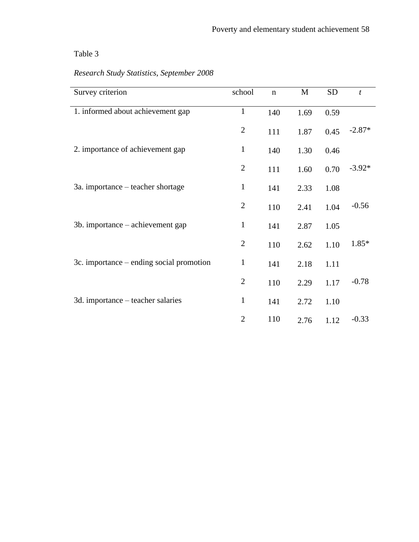## Table 3

| Survey criterion                         | school         | $\mathbf n$ | M    | <b>SD</b> | $\boldsymbol{t}$ |
|------------------------------------------|----------------|-------------|------|-----------|------------------|
| 1. informed about achievement gap        | $\mathbf{1}$   | 140         | 1.69 | 0.59      |                  |
|                                          | $\overline{2}$ | 111         | 1.87 | 0.45      | $-2.87*$         |
| 2. importance of achievement gap         | $\mathbf{1}$   | 140         | 1.30 | 0.46      |                  |
|                                          | $\overline{2}$ | 111         | 1.60 | 0.70      | $-3.92*$         |
| 3a. importance – teacher shortage        | $\mathbf{1}$   | 141         | 2.33 | 1.08      |                  |
|                                          | $\mathbf{2}$   | 110         | 2.41 | 1.04      | $-0.56$          |
| 3b. importance – achievement gap         | $\mathbf{1}$   | 141         | 2.87 | 1.05      |                  |
|                                          | $\overline{2}$ | 110         | 2.62 | 1.10      | 1.85*            |
| 3c. importance – ending social promotion | $\mathbf{1}$   | 141         | 2.18 | 1.11      |                  |
|                                          | $\overline{2}$ | 110         | 2.29 | 1.17      | $-0.78$          |
| 3d. importance – teacher salaries        | $\mathbf{1}$   | 141         | 2.72 | 1.10      |                  |
|                                          | $\overline{2}$ | 110         | 2.76 | 1.12      | $-0.33$          |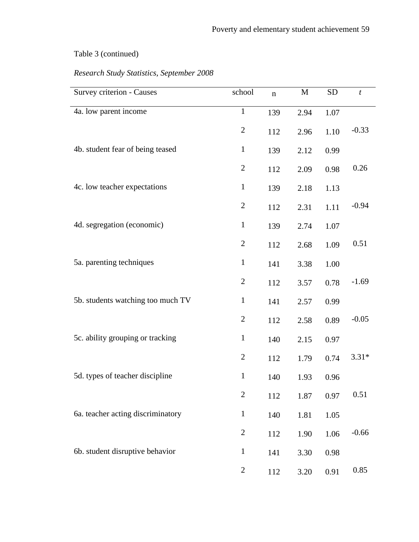| Survey criterion - Causes         | school         | $\mathbf n$ | M    | <b>SD</b> | t       |
|-----------------------------------|----------------|-------------|------|-----------|---------|
| 4a. low parent income             | $\mathbf 1$    | 139         | 2.94 | 1.07      |         |
|                                   | $\mathbf{2}$   | 112         | 2.96 | 1.10      | $-0.33$ |
| 4b. student fear of being teased  | $\mathbf{1}$   | 139         | 2.12 | 0.99      |         |
|                                   | $\overline{2}$ | 112         | 2.09 | 0.98      | 0.26    |
| 4c. low teacher expectations      | $\mathbf{1}$   | 139         | 2.18 | 1.13      |         |
|                                   | $\mathbf{2}$   | 112         | 2.31 | 1.11      | $-0.94$ |
| 4d. segregation (economic)        | $\mathbf{1}$   | 139         | 2.74 | 1.07      |         |
|                                   | $\overline{2}$ | 112         | 2.68 | 1.09      | 0.51    |
| 5a. parenting techniques          | $\mathbf{1}$   | 141         | 3.38 | 1.00      |         |
|                                   | $\overline{2}$ | 112         | 3.57 | 0.78      | $-1.69$ |
| 5b. students watching too much TV | $\mathbf{1}$   | 141         | 2.57 | 0.99      |         |
|                                   | $\mathbf{2}$   | 112         | 2.58 | 0.89      | $-0.05$ |
| 5c. ability grouping or tracking  | $\mathbf{1}$   | 140         | 2.15 | 0.97      |         |
|                                   | $\overline{2}$ | 112         | 1.79 | 0.74      | $3.31*$ |
| 5d. types of teacher discipline   | $\mathbf{1}$   | 140         | 1.93 | 0.96      |         |
|                                   | $\mathbf{2}$   | 112         | 1.87 | 0.97      | 0.51    |
| 6a. teacher acting discriminatory | $\mathbf{1}$   | 140         | 1.81 | 1.05      |         |
|                                   | $\mathbf{2}$   | 112         | 1.90 | 1.06      | $-0.66$ |
| 6b. student disruptive behavior   | $\mathbf{1}$   | 141         | 3.30 | 0.98      |         |
|                                   | $\overline{2}$ | 112         | 3.20 | 0.91      | 0.85    |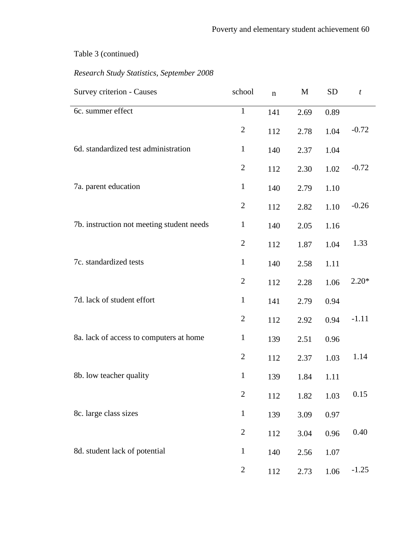| Survey criterion - Causes                 | school         | $\mathbf n$ | M    | <b>SD</b> | $\boldsymbol{t}$ |
|-------------------------------------------|----------------|-------------|------|-----------|------------------|
| 6c. summer effect                         | $\mathbf{1}$   | 141         | 2.69 | 0.89      |                  |
|                                           | $\mathbf{2}$   | 112         | 2.78 | 1.04      | $-0.72$          |
| 6d. standardized test administration      | $\mathbf{1}$   | 140         | 2.37 | 1.04      |                  |
|                                           | $\mathbf{2}$   | 112         | 2.30 | 1.02      | $-0.72$          |
| 7a. parent education                      | $\mathbf{1}$   | 140         | 2.79 | 1.10      |                  |
|                                           | $\mathbf{2}$   | 112         | 2.82 | 1.10      | $-0.26$          |
| 7b. instruction not meeting student needs | $\mathbf{1}$   | 140         | 2.05 | 1.16      |                  |
|                                           | $\overline{2}$ | 112         | 1.87 | 1.04      | 1.33             |
| 7c. standardized tests                    | $\mathbf{1}$   | 140         | 2.58 | 1.11      |                  |
|                                           | $\overline{2}$ | 112         | 2.28 | 1.06      | $2.20*$          |
| 7d. lack of student effort                | $\mathbf{1}$   | 141         | 2.79 | 0.94      |                  |
|                                           | $\mathfrak{2}$ | 112         | 2.92 | 0.94      | $-1.11$          |
| 8a. lack of access to computers at home   | $\mathbf{1}$   | 139         | 2.51 | 0.96      |                  |
|                                           | $\mathbf{2}$   | 112         | 2.37 | 1.03      | 1.14             |
| 8b. low teacher quality                   | $\mathbf{1}$   | 139         | 1.84 | 1.11      |                  |
|                                           | $\overline{2}$ | 112         | 1.82 | 1.03      | 0.15             |
| 8c. large class sizes                     | $\mathbf{1}$   | 139         | 3.09 | 0.97      |                  |
|                                           | $\mathbf{2}$   | 112         | 3.04 | 0.96      | 0.40             |
| 8d. student lack of potential             | $\mathbf{1}$   | 140         | 2.56 | 1.07      |                  |
|                                           | $\overline{c}$ | 112         | 2.73 | 1.06      | $-1.25$          |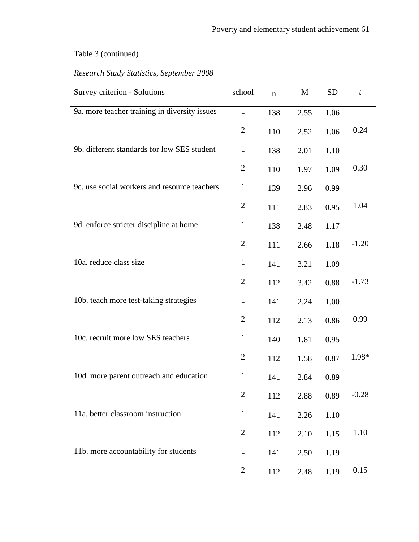| Survey criterion - Solutions                  | school         | $\mathbf n$ | M    | <b>SD</b> | t       |
|-----------------------------------------------|----------------|-------------|------|-----------|---------|
| 9a. more teacher training in diversity issues | $\mathbf{1}$   | 138         | 2.55 | 1.06      |         |
|                                               | $\overline{2}$ | 110         | 2.52 | 1.06      | 0.24    |
| 9b. different standards for low SES student   | $\mathbf{1}$   | 138         | 2.01 | 1.10      |         |
|                                               | $\overline{2}$ | 110         | 1.97 | 1.09      | 0.30    |
| 9c. use social workers and resource teachers  | $\mathbf{1}$   | 139         | 2.96 | 0.99      |         |
|                                               | $\overline{2}$ | 111         | 2.83 | 0.95      | 1.04    |
| 9d. enforce stricter discipline at home       | $\mathbf{1}$   | 138         | 2.48 | 1.17      |         |
|                                               | $\overline{2}$ | 111         | 2.66 | 1.18      | $-1.20$ |
| 10a. reduce class size                        | $\mathbf{1}$   | 141         | 3.21 | 1.09      |         |
|                                               | $\overline{2}$ | 112         | 3.42 | 0.88      | $-1.73$ |
| 10b. teach more test-taking strategies        | $\mathbf{1}$   | 141         | 2.24 | 1.00      |         |
|                                               | $\overline{2}$ | 112         | 2.13 | 0.86      | 0.99    |
| 10c. recruit more low SES teachers            | $\mathbf{1}$   | 140         | 1.81 | 0.95      |         |
|                                               | $\overline{2}$ | 112         | 1.58 | 0.87      | 1.98*   |
| 10d. more parent outreach and education       | $\mathbf{1}$   | 141         | 2.84 | 0.89      |         |
|                                               | $\overline{2}$ | 112         | 2.88 | 0.89      | $-0.28$ |
| 11a. better classroom instruction             | $\mathbf{1}$   | 141         | 2.26 | 1.10      |         |
|                                               | $\mathbf{2}$   | 112         | 2.10 | 1.15      | 1.10    |
| 11b. more accountability for students         | $\mathbf{1}$   | 141         | 2.50 | 1.19      |         |
|                                               | $\overline{2}$ | 112         | 2.48 | 1.19      | 0.15    |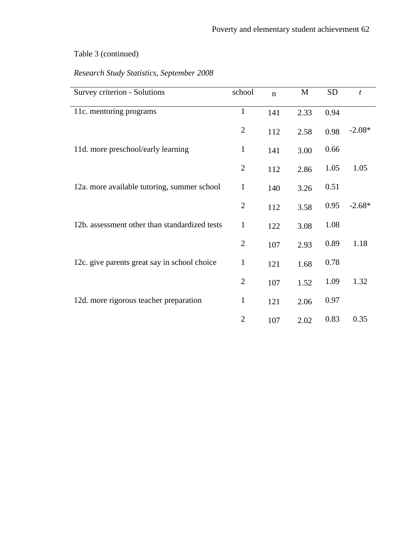| Survey criterion - Solutions                  | school         | $\mathbf n$ | M    | <b>SD</b> | $\boldsymbol{t}$ |
|-----------------------------------------------|----------------|-------------|------|-----------|------------------|
| 11c. mentoring programs                       | $\mathbf{1}$   | 141         | 2.33 | 0.94      |                  |
|                                               | $\overline{2}$ | 112         | 2.58 | 0.98      | $-2.08*$         |
| 11d. more preschool/early learning            | $\mathbf{1}$   | 141         | 3.00 | 0.66      |                  |
|                                               | $\overline{2}$ | 112         | 2.86 | 1.05      | 1.05             |
| 12a. more available tutoring, summer school   | $\mathbf{1}$   |             |      | 0.51      |                  |
|                                               |                | 140         | 3.26 |           |                  |
|                                               | $\overline{2}$ | 112         | 3.58 | 0.95      | $-2.68*$         |
| 12b. assessment other than standardized tests | $\mathbf{1}$   | 122         | 3.08 | 1.08      |                  |
|                                               | $\overline{2}$ | 107         | 2.93 | 0.89      | 1.18             |
| 12c. give parents great say in school choice  | $\mathbf{1}$   | 121         | 1.68 | 0.78      |                  |
|                                               | $\overline{2}$ | 107         | 1.52 | 1.09      | 1.32             |
| 12d. more rigorous teacher preparation        | $\mathbf{1}$   | 121         | 2.06 | 0.97      |                  |
|                                               | $\overline{2}$ | 107         | 2.02 | 0.83      | 0.35             |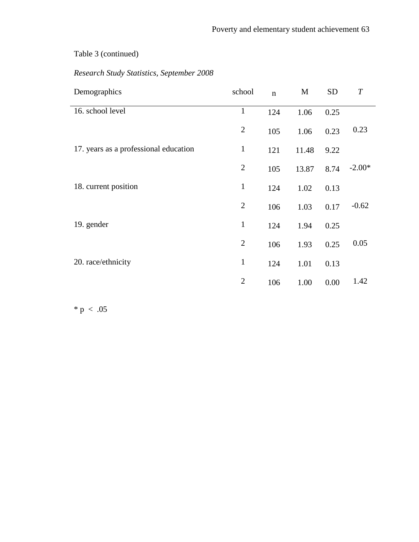## *Research Study Statistics, September 2008*

| Demographics                          | school         | $\mathbf n$ | M     | <b>SD</b> | T        |
|---------------------------------------|----------------|-------------|-------|-----------|----------|
| 16. school level                      | $\mathbf{1}$   | 124         | 1.06  | 0.25      |          |
|                                       | $\mathbf{2}$   | 105         | 1.06  | 0.23      | 0.23     |
| 17. years as a professional education | $\mathbf{1}$   | 121         | 11.48 | 9.22      |          |
|                                       | $\mathbf{2}$   | 105         | 13.87 | 8.74      | $-2.00*$ |
| 18. current position                  | $\mathbf{1}$   | 124         | 1.02  | 0.13      |          |
|                                       | $\overline{2}$ | 106         | 1.03  | 0.17      | $-0.62$  |
| 19. gender                            | $\mathbf{1}$   | 124         | 1.94  | 0.25      |          |
|                                       | $\overline{2}$ | 106         | 1.93  | 0.25      | 0.05     |
| 20. race/ethnicity                    | $\mathbf{1}$   | 124         | 1.01  | 0.13      |          |
|                                       | $\overline{2}$ | 106         | 1.00  | 0.00      | 1.42     |

 $* p < .05$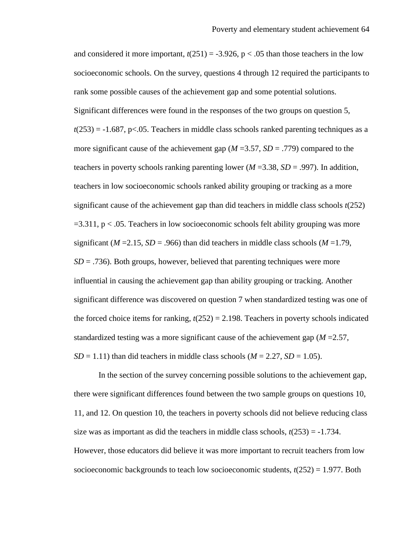and considered it more important,  $t(251) = -3.926$ ,  $p < .05$  than those teachers in the low socioeconomic schools. On the survey, questions 4 through 12 required the participants to rank some possible causes of the achievement gap and some potential solutions. Significant differences were found in the responses of the two groups on question 5,  $t(253) = -1.687$ , p<.05. Teachers in middle class schools ranked parenting techniques as a more significant cause of the achievement gap (*M* =3.57, *SD* = .779) compared to the teachers in poverty schools ranking parenting lower ( $M = 3.38$ ,  $SD = .997$ ). In addition, teachers in low socioeconomic schools ranked ability grouping or tracking as a more significant cause of the achievement gap than did teachers in middle class schools *t*(252)  $=3.311$ ,  $p < .05$ . Teachers in low socioeconomic schools felt ability grouping was more significant ( $M = 2.15$ ,  $SD = .966$ ) than did teachers in middle class schools ( $M = 1.79$ ,  $SD = .736$ ). Both groups, however, believed that parenting techniques were more influential in causing the achievement gap than ability grouping or tracking. Another significant difference was discovered on question 7 when standardized testing was one of the forced choice items for ranking,  $t(252) = 2.198$ . Teachers in poverty schools indicated standardized testing was a more significant cause of the achievement gap (*M* =2.57,  $SD = 1.11$ ) than did teachers in middle class schools ( $M = 2.27$ ,  $SD = 1.05$ ).

In the section of the survey concerning possible solutions to the achievement gap, there were significant differences found between the two sample groups on questions 10, 11, and 12. On question 10, the teachers in poverty schools did not believe reducing class size was as important as did the teachers in middle class schools,  $t(253) = -1.734$ . However, those educators did believe it was more important to recruit teachers from low socioeconomic backgrounds to teach low socioeconomic students,  $t(252) = 1.977$ . Both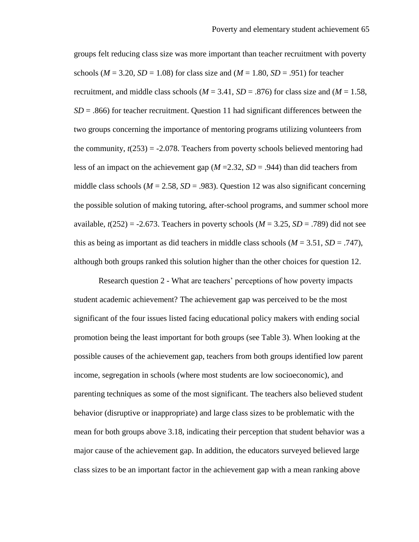groups felt reducing class size was more important than teacher recruitment with poverty schools ( $M = 3.20$ ,  $SD = 1.08$ ) for class size and ( $M = 1.80$ ,  $SD = .951$ ) for teacher recruitment, and middle class schools  $(M = 3.41, SD = .876)$  for class size and  $(M = 1.58,$  $SD = .866$ ) for teacher recruitment. Question 11 had significant differences between the two groups concerning the importance of mentoring programs utilizing volunteers from the community,  $t(253) = -2.078$ . Teachers from poverty schools believed mentoring had less of an impact on the achievement gap (*M* =2.32, *SD* = .944) than did teachers from middle class schools ( $M = 2.58$ ,  $SD = .983$ ). Question 12 was also significant concerning the possible solution of making tutoring, after-school programs, and summer school more available,  $t(252) = -2.673$ . Teachers in poverty schools ( $M = 3.25$ ,  $SD = .789$ ) did not see this as being as important as did teachers in middle class schools ( $M = 3.51$ ,  $SD = .747$ ), although both groups ranked this solution higher than the other choices for question 12.

Research question 2 - What are teachers' perceptions of how poverty impacts student academic achievement? The achievement gap was perceived to be the most significant of the four issues listed facing educational policy makers with ending social promotion being the least important for both groups (see Table 3). When looking at the possible causes of the achievement gap, teachers from both groups identified low parent income, segregation in schools (where most students are low socioeconomic), and parenting techniques as some of the most significant. The teachers also believed student behavior (disruptive or inappropriate) and large class sizes to be problematic with the mean for both groups above 3.18, indicating their perception that student behavior was a major cause of the achievement gap. In addition, the educators surveyed believed large class sizes to be an important factor in the achievement gap with a mean ranking above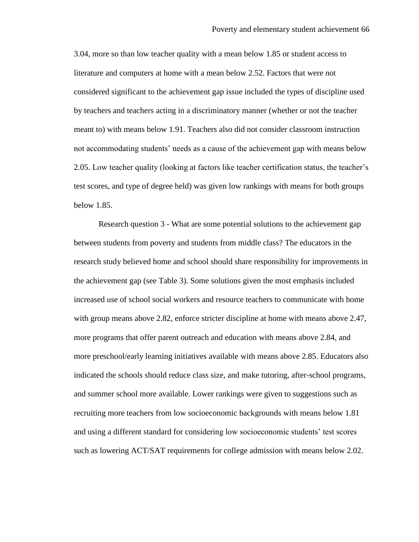3.04, more so than low teacher quality with a mean below 1.85 or student access to literature and computers at home with a mean below 2.52. Factors that were not considered significant to the achievement gap issue included the types of discipline used by teachers and teachers acting in a discriminatory manner (whether or not the teacher meant to) with means below 1.91. Teachers also did not consider classroom instruction not accommodating students" needs as a cause of the achievement gap with means below 2.05. Low teacher quality (looking at factors like teacher certification status, the teacher"s test scores, and type of degree held) was given low rankings with means for both groups below 1.85.

Research question 3 - What are some potential solutions to the achievement gap between students from poverty and students from middle class? The educators in the research study believed home and school should share responsibility for improvements in the achievement gap (see Table 3). Some solutions given the most emphasis included increased use of school social workers and resource teachers to communicate with home with group means above 2.82, enforce stricter discipline at home with means above 2.47, more programs that offer parent outreach and education with means above 2.84, and more preschool/early learning initiatives available with means above 2.85. Educators also indicated the schools should reduce class size, and make tutoring, after-school programs, and summer school more available. Lower rankings were given to suggestions such as recruiting more teachers from low socioeconomic backgrounds with means below 1.81 and using a different standard for considering low socioeconomic students" test scores such as lowering ACT/SAT requirements for college admission with means below 2.02.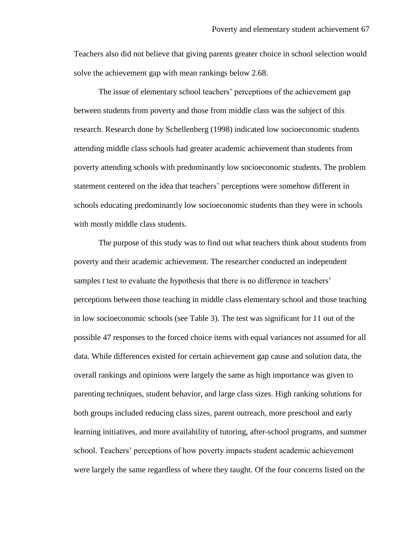Teachers also did not believe that giving parents greater choice in school selection would solve the achievement gap with mean rankings below 2.68.

The issue of elementary school teachers' perceptions of the achievement gap between students from poverty and those from middle class was the subject of this research. Research done by Schellenberg (1998) indicated low socioeconomic students attending middle class schools had greater academic achievement than students from poverty attending schools with predominantly low socioeconomic students. The problem statement centered on the idea that teachers" perceptions were somehow different in schools educating predominantly low socioeconomic students than they were in schools with mostly middle class students.

The purpose of this study was to find out what teachers think about students from poverty and their academic achievement. The researcher conducted an independent samples *t* test to evaluate the hypothesis that there is no difference in teachers' perceptions between those teaching in middle class elementary school and those teaching in low socioeconomic schools (see Table 3). The test was significant for 11 out of the possible 47 responses to the forced choice items with equal variances not assumed for all data. While differences existed for certain achievement gap cause and solution data, the overall rankings and opinions were largely the same as high importance was given to parenting techniques, student behavior, and large class sizes. High ranking solutions for both groups included reducing class sizes, parent outreach, more preschool and early learning initiatives, and more availability of tutoring, after-school programs, and summer school. Teachers" perceptions of how poverty impacts student academic achievement were largely the same regardless of where they taught. Of the four concerns listed on the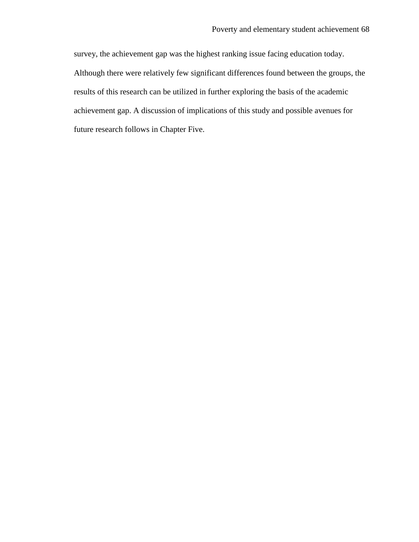survey, the achievement gap was the highest ranking issue facing education today. Although there were relatively few significant differences found between the groups, the results of this research can be utilized in further exploring the basis of the academic achievement gap. A discussion of implications of this study and possible avenues for future research follows in Chapter Five.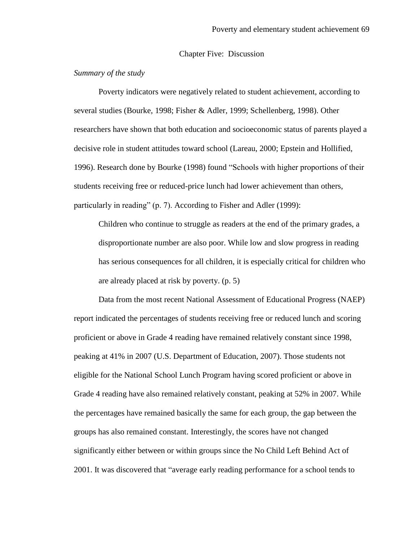### Chapter Five: Discussion

### *Summary of the study*

Poverty indicators were negatively related to student achievement, according to several studies (Bourke, 1998; Fisher & Adler, 1999; Schellenberg, 1998). Other researchers have shown that both education and socioeconomic status of parents played a decisive role in student attitudes toward school (Lareau, 2000; Epstein and Hollified, 1996). Research done by Bourke (1998) found "Schools with higher proportions of their students receiving free or reduced-price lunch had lower achievement than others, particularly in reading" (p. 7). According to Fisher and Adler (1999):

Children who continue to struggle as readers at the end of the primary grades, a disproportionate number are also poor. While low and slow progress in reading has serious consequences for all children, it is especially critical for children who are already placed at risk by poverty. (p. 5)

Data from the most recent National Assessment of Educational Progress (NAEP) report indicated the percentages of students receiving free or reduced lunch and scoring proficient or above in Grade 4 reading have remained relatively constant since 1998, peaking at 41% in 2007 (U.S. Department of Education, 2007). Those students not eligible for the National School Lunch Program having scored proficient or above in Grade 4 reading have also remained relatively constant, peaking at 52% in 2007. While the percentages have remained basically the same for each group, the gap between the groups has also remained constant. Interestingly, the scores have not changed significantly either between or within groups since the No Child Left Behind Act of 2001. It was discovered that "average early reading performance for a school tends to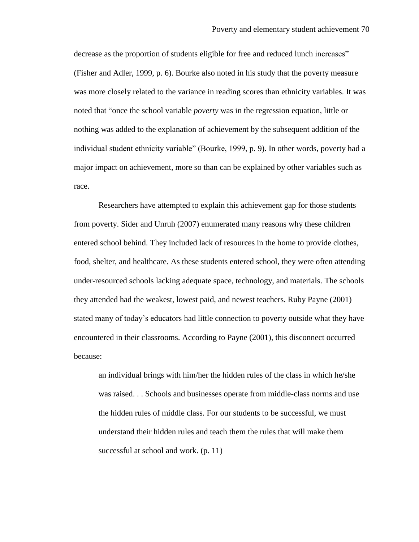decrease as the proportion of students eligible for free and reduced lunch increases" (Fisher and Adler, 1999, p. 6). Bourke also noted in his study that the poverty measure was more closely related to the variance in reading scores than ethnicity variables. It was noted that "once the school variable *poverty* was in the regression equation, little or nothing was added to the explanation of achievement by the subsequent addition of the individual student ethnicity variable" (Bourke, 1999, p. 9). In other words, poverty had a major impact on achievement, more so than can be explained by other variables such as race.

Researchers have attempted to explain this achievement gap for those students from poverty. Sider and Unruh (2007) enumerated many reasons why these children entered school behind. They included lack of resources in the home to provide clothes, food, shelter, and healthcare. As these students entered school, they were often attending under-resourced schools lacking adequate space, technology, and materials. The schools they attended had the weakest, lowest paid, and newest teachers. Ruby Payne (2001) stated many of today"s educators had little connection to poverty outside what they have encountered in their classrooms. According to Payne (2001), this disconnect occurred because:

an individual brings with him/her the hidden rules of the class in which he/she was raised. . . Schools and businesses operate from middle-class norms and use the hidden rules of middle class. For our students to be successful, we must understand their hidden rules and teach them the rules that will make them successful at school and work. (p. 11)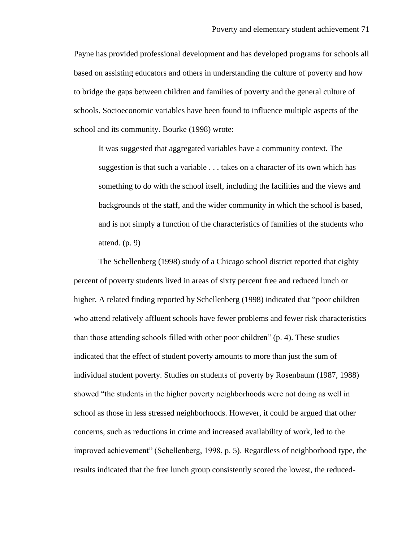Payne has provided professional development and has developed programs for schools all based on assisting educators and others in understanding the culture of poverty and how to bridge the gaps between children and families of poverty and the general culture of schools. Socioeconomic variables have been found to influence multiple aspects of the school and its community. Bourke (1998) wrote:

It was suggested that aggregated variables have a community context. The suggestion is that such a variable . . . takes on a character of its own which has something to do with the school itself, including the facilities and the views and backgrounds of the staff, and the wider community in which the school is based, and is not simply a function of the characteristics of families of the students who attend.  $(p. 9)$ 

The Schellenberg (1998) study of a Chicago school district reported that eighty percent of poverty students lived in areas of sixty percent free and reduced lunch or higher. A related finding reported by Schellenberg (1998) indicated that "poor children who attend relatively affluent schools have fewer problems and fewer risk characteristics than those attending schools filled with other poor children" (p. 4). These studies indicated that the effect of student poverty amounts to more than just the sum of individual student poverty. Studies on students of poverty by Rosenbaum (1987, 1988) showed "the students in the higher poverty neighborhoods were not doing as well in school as those in less stressed neighborhoods. However, it could be argued that other concerns, such as reductions in crime and increased availability of work, led to the improved achievement" (Schellenberg, 1998, p. 5). Regardless of neighborhood type, the results indicated that the free lunch group consistently scored the lowest, the reduced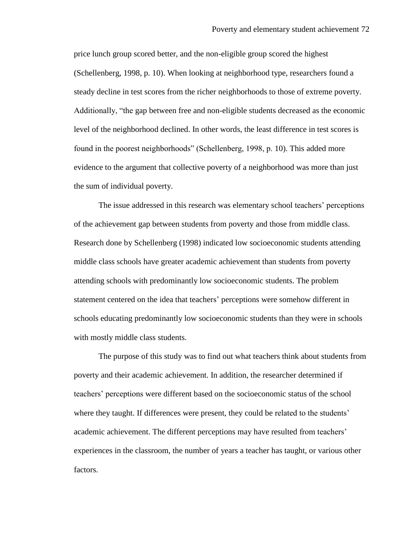price lunch group scored better, and the non-eligible group scored the highest (Schellenberg, 1998, p. 10). When looking at neighborhood type, researchers found a steady decline in test scores from the richer neighborhoods to those of extreme poverty. Additionally, "the gap between free and non-eligible students decreased as the economic level of the neighborhood declined. In other words, the least difference in test scores is found in the poorest neighborhoods" (Schellenberg, 1998, p. 10). This added more evidence to the argument that collective poverty of a neighborhood was more than just the sum of individual poverty.

The issue addressed in this research was elementary school teachers" perceptions of the achievement gap between students from poverty and those from middle class. Research done by Schellenberg (1998) indicated low socioeconomic students attending middle class schools have greater academic achievement than students from poverty attending schools with predominantly low socioeconomic students. The problem statement centered on the idea that teachers" perceptions were somehow different in schools educating predominantly low socioeconomic students than they were in schools with mostly middle class students.

The purpose of this study was to find out what teachers think about students from poverty and their academic achievement. In addition, the researcher determined if teachers" perceptions were different based on the socioeconomic status of the school where they taught. If differences were present, they could be related to the students' academic achievement. The different perceptions may have resulted from teachers" experiences in the classroom, the number of years a teacher has taught, or various other factors.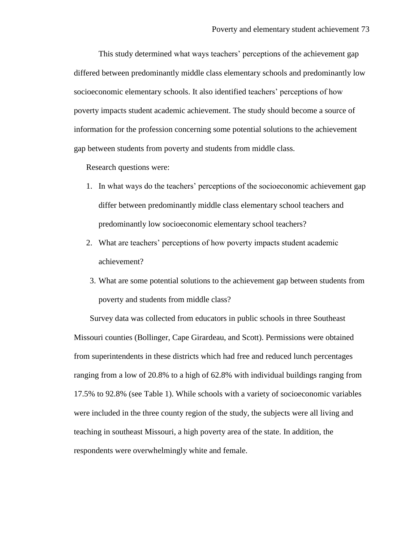This study determined what ways teachers' perceptions of the achievement gap differed between predominantly middle class elementary schools and predominantly low socioeconomic elementary schools. It also identified teachers" perceptions of how poverty impacts student academic achievement. The study should become a source of information for the profession concerning some potential solutions to the achievement gap between students from poverty and students from middle class.

Research questions were:

- 1. In what ways do the teachers" perceptions of the socioeconomic achievement gap differ between predominantly middle class elementary school teachers and predominantly low socioeconomic elementary school teachers?
- 2. What are teachers" perceptions of how poverty impacts student academic achievement?
- 3. What are some potential solutions to the achievement gap between students from poverty and students from middle class?

Survey data was collected from educators in public schools in three Southeast Missouri counties (Bollinger, Cape Girardeau, and Scott). Permissions were obtained from superintendents in these districts which had free and reduced lunch percentages ranging from a low of 20.8% to a high of 62.8% with individual buildings ranging from 17.5% to 92.8% (see Table 1). While schools with a variety of socioeconomic variables were included in the three county region of the study, the subjects were all living and teaching in southeast Missouri, a high poverty area of the state. In addition, the respondents were overwhelmingly white and female.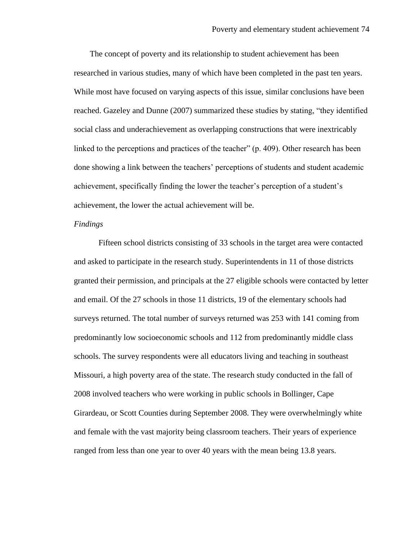The concept of poverty and its relationship to student achievement has been researched in various studies, many of which have been completed in the past ten years. While most have focused on varying aspects of this issue, similar conclusions have been reached. Gazeley and Dunne (2007) summarized these studies by stating, "they identified social class and underachievement as overlapping constructions that were inextricably linked to the perceptions and practices of the teacher" (p. 409). Other research has been done showing a link between the teachers' perceptions of students and student academic achievement, specifically finding the lower the teacher"s perception of a student"s achievement, the lower the actual achievement will be.

### *Findings*

Fifteen school districts consisting of 33 schools in the target area were contacted and asked to participate in the research study. Superintendents in 11 of those districts granted their permission, and principals at the 27 eligible schools were contacted by letter and email. Of the 27 schools in those 11 districts, 19 of the elementary schools had surveys returned. The total number of surveys returned was 253 with 141 coming from predominantly low socioeconomic schools and 112 from predominantly middle class schools. The survey respondents were all educators living and teaching in southeast Missouri, a high poverty area of the state. The research study conducted in the fall of 2008 involved teachers who were working in public schools in Bollinger, Cape Girardeau, or Scott Counties during September 2008. They were overwhelmingly white and female with the vast majority being classroom teachers. Their years of experience ranged from less than one year to over 40 years with the mean being 13.8 years.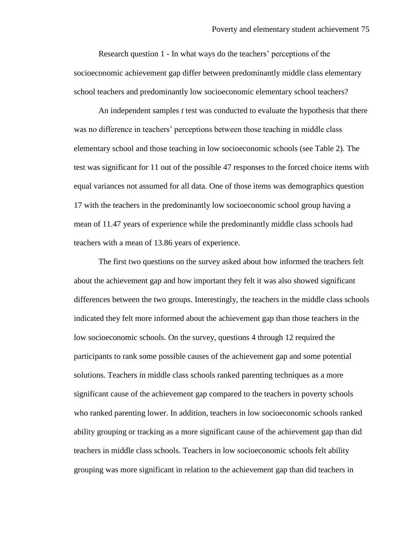Research question 1 - In what ways do the teachers' perceptions of the socioeconomic achievement gap differ between predominantly middle class elementary school teachers and predominantly low socioeconomic elementary school teachers?

An independent samples *t* test was conducted to evaluate the hypothesis that there was no difference in teachers' perceptions between those teaching in middle class elementary school and those teaching in low socioeconomic schools (see Table 2). The test was significant for 11 out of the possible 47 responses to the forced choice items with equal variances not assumed for all data. One of those items was demographics question 17 with the teachers in the predominantly low socioeconomic school group having a mean of 11.47 years of experience while the predominantly middle class schools had teachers with a mean of 13.86 years of experience.

The first two questions on the survey asked about how informed the teachers felt about the achievement gap and how important they felt it was also showed significant differences between the two groups. Interestingly, the teachers in the middle class schools indicated they felt more informed about the achievement gap than those teachers in the low socioeconomic schools. On the survey, questions 4 through 12 required the participants to rank some possible causes of the achievement gap and some potential solutions. Teachers in middle class schools ranked parenting techniques as a more significant cause of the achievement gap compared to the teachers in poverty schools who ranked parenting lower. In addition, teachers in low socioeconomic schools ranked ability grouping or tracking as a more significant cause of the achievement gap than did teachers in middle class schools. Teachers in low socioeconomic schools felt ability grouping was more significant in relation to the achievement gap than did teachers in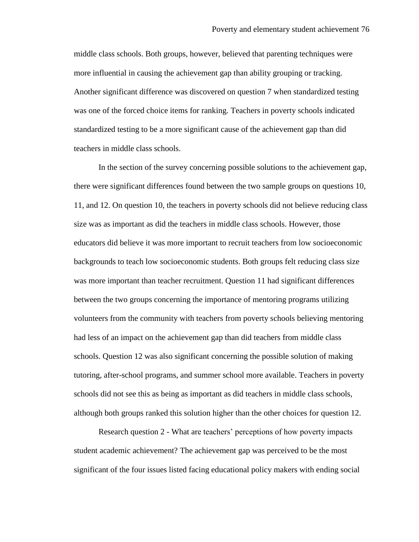middle class schools. Both groups, however, believed that parenting techniques were more influential in causing the achievement gap than ability grouping or tracking. Another significant difference was discovered on question 7 when standardized testing was one of the forced choice items for ranking. Teachers in poverty schools indicated standardized testing to be a more significant cause of the achievement gap than did teachers in middle class schools.

In the section of the survey concerning possible solutions to the achievement gap, there were significant differences found between the two sample groups on questions 10, 11, and 12. On question 10, the teachers in poverty schools did not believe reducing class size was as important as did the teachers in middle class schools. However, those educators did believe it was more important to recruit teachers from low socioeconomic backgrounds to teach low socioeconomic students. Both groups felt reducing class size was more important than teacher recruitment. Question 11 had significant differences between the two groups concerning the importance of mentoring programs utilizing volunteers from the community with teachers from poverty schools believing mentoring had less of an impact on the achievement gap than did teachers from middle class schools. Question 12 was also significant concerning the possible solution of making tutoring, after-school programs, and summer school more available. Teachers in poverty schools did not see this as being as important as did teachers in middle class schools, although both groups ranked this solution higher than the other choices for question 12.

Research question 2 - What are teachers' perceptions of how poverty impacts student academic achievement? The achievement gap was perceived to be the most significant of the four issues listed facing educational policy makers with ending social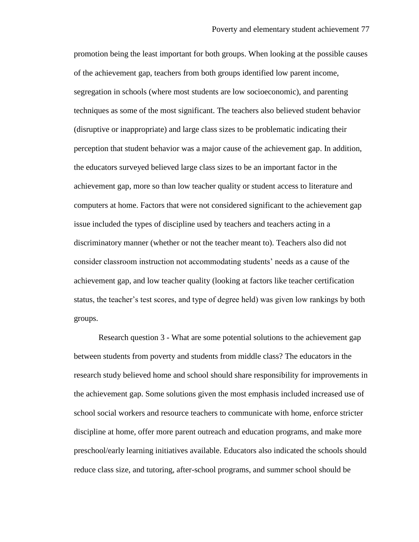promotion being the least important for both groups. When looking at the possible causes of the achievement gap, teachers from both groups identified low parent income, segregation in schools (where most students are low socioeconomic), and parenting techniques as some of the most significant. The teachers also believed student behavior (disruptive or inappropriate) and large class sizes to be problematic indicating their perception that student behavior was a major cause of the achievement gap. In addition, the educators surveyed believed large class sizes to be an important factor in the achievement gap, more so than low teacher quality or student access to literature and computers at home. Factors that were not considered significant to the achievement gap issue included the types of discipline used by teachers and teachers acting in a discriminatory manner (whether or not the teacher meant to). Teachers also did not consider classroom instruction not accommodating students" needs as a cause of the achievement gap, and low teacher quality (looking at factors like teacher certification status, the teacher"s test scores, and type of degree held) was given low rankings by both groups.

Research question 3 - What are some potential solutions to the achievement gap between students from poverty and students from middle class? The educators in the research study believed home and school should share responsibility for improvements in the achievement gap. Some solutions given the most emphasis included increased use of school social workers and resource teachers to communicate with home, enforce stricter discipline at home, offer more parent outreach and education programs, and make more preschool/early learning initiatives available. Educators also indicated the schools should reduce class size, and tutoring, after-school programs, and summer school should be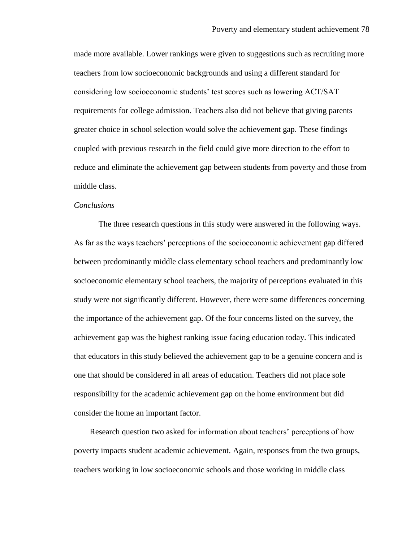made more available. Lower rankings were given to suggestions such as recruiting more teachers from low socioeconomic backgrounds and using a different standard for considering low socioeconomic students" test scores such as lowering ACT/SAT requirements for college admission. Teachers also did not believe that giving parents greater choice in school selection would solve the achievement gap. These findings coupled with previous research in the field could give more direction to the effort to reduce and eliminate the achievement gap between students from poverty and those from middle class.

### *Conclusions*

The three research questions in this study were answered in the following ways. As far as the ways teachers' perceptions of the socioeconomic achievement gap differed between predominantly middle class elementary school teachers and predominantly low socioeconomic elementary school teachers, the majority of perceptions evaluated in this study were not significantly different. However, there were some differences concerning the importance of the achievement gap. Of the four concerns listed on the survey, the achievement gap was the highest ranking issue facing education today. This indicated that educators in this study believed the achievement gap to be a genuine concern and is one that should be considered in all areas of education. Teachers did not place sole responsibility for the academic achievement gap on the home environment but did consider the home an important factor.

Research question two asked for information about teachers" perceptions of how poverty impacts student academic achievement. Again, responses from the two groups, teachers working in low socioeconomic schools and those working in middle class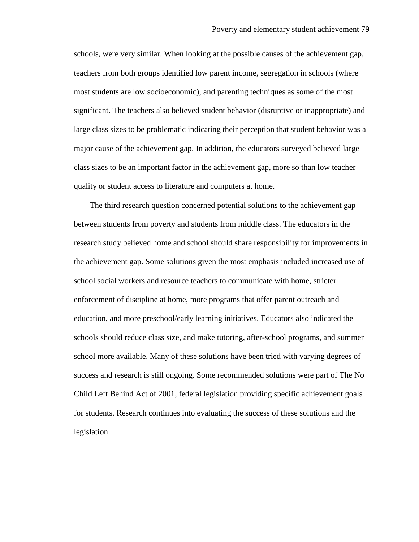schools, were very similar. When looking at the possible causes of the achievement gap, teachers from both groups identified low parent income, segregation in schools (where most students are low socioeconomic), and parenting techniques as some of the most significant. The teachers also believed student behavior (disruptive or inappropriate) and large class sizes to be problematic indicating their perception that student behavior was a major cause of the achievement gap. In addition, the educators surveyed believed large class sizes to be an important factor in the achievement gap, more so than low teacher quality or student access to literature and computers at home.

The third research question concerned potential solutions to the achievement gap between students from poverty and students from middle class. The educators in the research study believed home and school should share responsibility for improvements in the achievement gap. Some solutions given the most emphasis included increased use of school social workers and resource teachers to communicate with home, stricter enforcement of discipline at home, more programs that offer parent outreach and education, and more preschool/early learning initiatives. Educators also indicated the schools should reduce class size, and make tutoring, after-school programs, and summer school more available. Many of these solutions have been tried with varying degrees of success and research is still ongoing. Some recommended solutions were part of The No Child Left Behind Act of 2001, federal legislation providing specific achievement goals for students. Research continues into evaluating the success of these solutions and the legislation.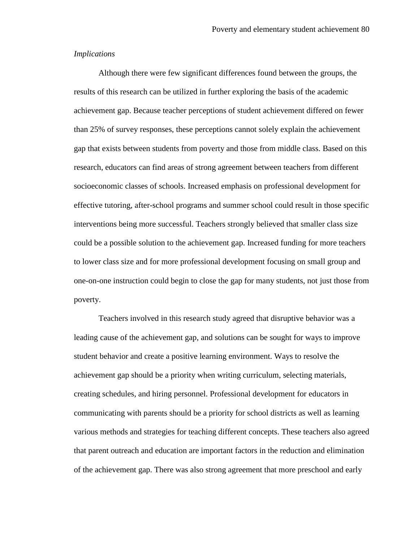### *Implications*

Although there were few significant differences found between the groups, the results of this research can be utilized in further exploring the basis of the academic achievement gap. Because teacher perceptions of student achievement differed on fewer than 25% of survey responses, these perceptions cannot solely explain the achievement gap that exists between students from poverty and those from middle class. Based on this research, educators can find areas of strong agreement between teachers from different socioeconomic classes of schools. Increased emphasis on professional development for effective tutoring, after-school programs and summer school could result in those specific interventions being more successful. Teachers strongly believed that smaller class size could be a possible solution to the achievement gap. Increased funding for more teachers to lower class size and for more professional development focusing on small group and one-on-one instruction could begin to close the gap for many students, not just those from poverty.

Teachers involved in this research study agreed that disruptive behavior was a leading cause of the achievement gap, and solutions can be sought for ways to improve student behavior and create a positive learning environment. Ways to resolve the achievement gap should be a priority when writing curriculum, selecting materials, creating schedules, and hiring personnel. Professional development for educators in communicating with parents should be a priority for school districts as well as learning various methods and strategies for teaching different concepts. These teachers also agreed that parent outreach and education are important factors in the reduction and elimination of the achievement gap. There was also strong agreement that more preschool and early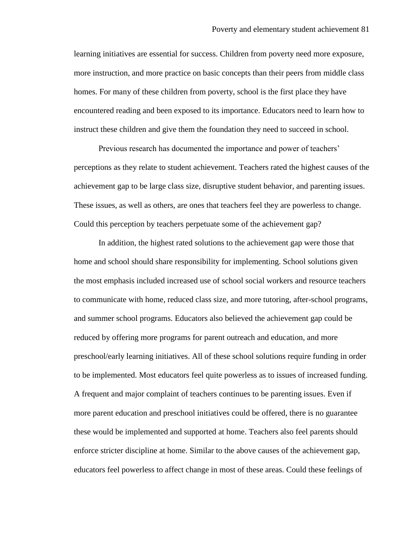learning initiatives are essential for success. Children from poverty need more exposure, more instruction, and more practice on basic concepts than their peers from middle class homes. For many of these children from poverty, school is the first place they have encountered reading and been exposed to its importance. Educators need to learn how to instruct these children and give them the foundation they need to succeed in school.

Previous research has documented the importance and power of teachers' perceptions as they relate to student achievement. Teachers rated the highest causes of the achievement gap to be large class size, disruptive student behavior, and parenting issues. These issues, as well as others, are ones that teachers feel they are powerless to change. Could this perception by teachers perpetuate some of the achievement gap?

In addition, the highest rated solutions to the achievement gap were those that home and school should share responsibility for implementing. School solutions given the most emphasis included increased use of school social workers and resource teachers to communicate with home, reduced class size, and more tutoring, after-school programs, and summer school programs. Educators also believed the achievement gap could be reduced by offering more programs for parent outreach and education, and more preschool/early learning initiatives. All of these school solutions require funding in order to be implemented. Most educators feel quite powerless as to issues of increased funding. A frequent and major complaint of teachers continues to be parenting issues. Even if more parent education and preschool initiatives could be offered, there is no guarantee these would be implemented and supported at home. Teachers also feel parents should enforce stricter discipline at home. Similar to the above causes of the achievement gap, educators feel powerless to affect change in most of these areas. Could these feelings of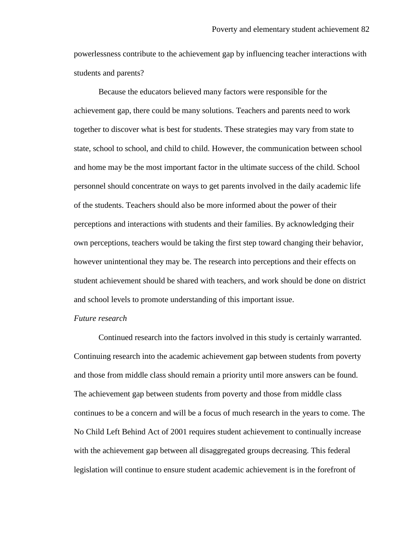powerlessness contribute to the achievement gap by influencing teacher interactions with students and parents?

Because the educators believed many factors were responsible for the achievement gap, there could be many solutions. Teachers and parents need to work together to discover what is best for students. These strategies may vary from state to state, school to school, and child to child. However, the communication between school and home may be the most important factor in the ultimate success of the child. School personnel should concentrate on ways to get parents involved in the daily academic life of the students. Teachers should also be more informed about the power of their perceptions and interactions with students and their families. By acknowledging their own perceptions, teachers would be taking the first step toward changing their behavior, however unintentional they may be. The research into perceptions and their effects on student achievement should be shared with teachers, and work should be done on district and school levels to promote understanding of this important issue.

### *Future research*

Continued research into the factors involved in this study is certainly warranted. Continuing research into the academic achievement gap between students from poverty and those from middle class should remain a priority until more answers can be found. The achievement gap between students from poverty and those from middle class continues to be a concern and will be a focus of much research in the years to come. The No Child Left Behind Act of 2001 requires student achievement to continually increase with the achievement gap between all disaggregated groups decreasing. This federal legislation will continue to ensure student academic achievement is in the forefront of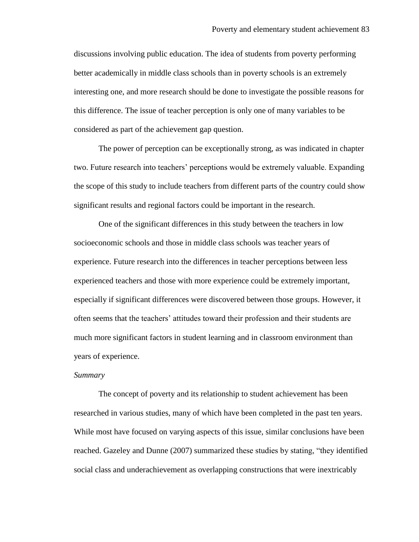discussions involving public education. The idea of students from poverty performing better academically in middle class schools than in poverty schools is an extremely interesting one, and more research should be done to investigate the possible reasons for this difference. The issue of teacher perception is only one of many variables to be considered as part of the achievement gap question.

The power of perception can be exceptionally strong, as was indicated in chapter two. Future research into teachers' perceptions would be extremely valuable. Expanding the scope of this study to include teachers from different parts of the country could show significant results and regional factors could be important in the research.

One of the significant differences in this study between the teachers in low socioeconomic schools and those in middle class schools was teacher years of experience. Future research into the differences in teacher perceptions between less experienced teachers and those with more experience could be extremely important, especially if significant differences were discovered between those groups. However, it often seems that the teachers" attitudes toward their profession and their students are much more significant factors in student learning and in classroom environment than years of experience.

### *Summary*

The concept of poverty and its relationship to student achievement has been researched in various studies, many of which have been completed in the past ten years. While most have focused on varying aspects of this issue, similar conclusions have been reached. Gazeley and Dunne (2007) summarized these studies by stating, "they identified social class and underachievement as overlapping constructions that were inextricably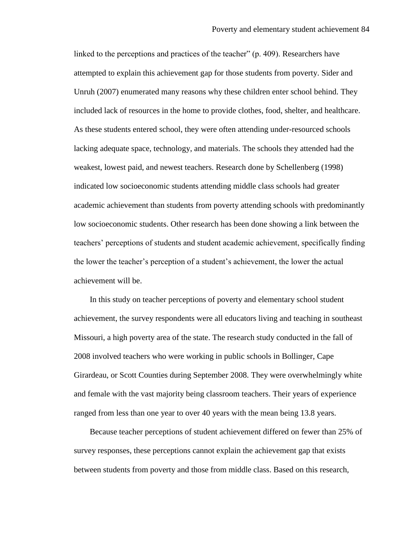linked to the perceptions and practices of the teacher" (p. 409). Researchers have attempted to explain this achievement gap for those students from poverty. Sider and Unruh (2007) enumerated many reasons why these children enter school behind. They included lack of resources in the home to provide clothes, food, shelter, and healthcare. As these students entered school, they were often attending under-resourced schools lacking adequate space, technology, and materials. The schools they attended had the weakest, lowest paid, and newest teachers. Research done by Schellenberg (1998) indicated low socioeconomic students attending middle class schools had greater academic achievement than students from poverty attending schools with predominantly low socioeconomic students. Other research has been done showing a link between the teachers" perceptions of students and student academic achievement, specifically finding the lower the teacher"s perception of a student"s achievement, the lower the actual achievement will be.

In this study on teacher perceptions of poverty and elementary school student achievement, the survey respondents were all educators living and teaching in southeast Missouri, a high poverty area of the state. The research study conducted in the fall of 2008 involved teachers who were working in public schools in Bollinger, Cape Girardeau, or Scott Counties during September 2008. They were overwhelmingly white and female with the vast majority being classroom teachers. Their years of experience ranged from less than one year to over 40 years with the mean being 13.8 years.

Because teacher perceptions of student achievement differed on fewer than 25% of survey responses, these perceptions cannot explain the achievement gap that exists between students from poverty and those from middle class. Based on this research,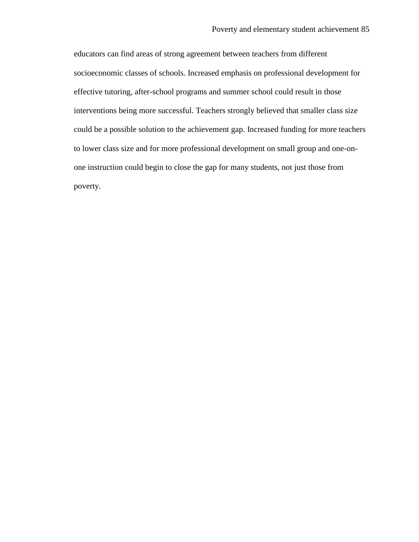educators can find areas of strong agreement between teachers from different socioeconomic classes of schools. Increased emphasis on professional development for effective tutoring, after-school programs and summer school could result in those interventions being more successful. Teachers strongly believed that smaller class size could be a possible solution to the achievement gap. Increased funding for more teachers to lower class size and for more professional development on small group and one-onone instruction could begin to close the gap for many students, not just those from poverty.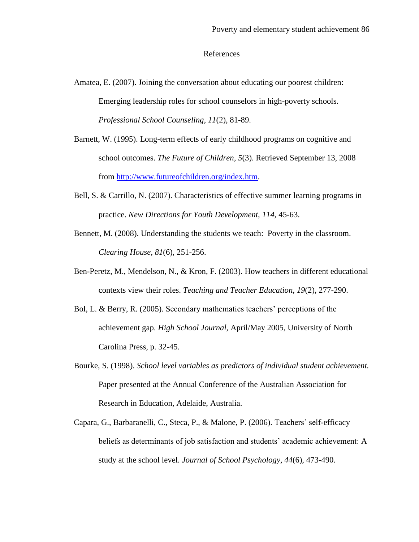### References

- Amatea, E. (2007). Joining the conversation about educating our poorest children: Emerging leadership roles for school counselors in high-poverty schools. *Professional School Counseling, 11*(2), 81-89.
- Barnett, W. (1995). Long-term effects of early childhood programs on cognitive and school outcomes. *The Future of Children, 5*(3). Retrieved September 13, 2008 from [http://www.futureofchildren.org/index.htm.](http://www.futureofchildren.org/index.htm)
- Bell, S. & Carrillo, N. (2007). Characteristics of effective summer learning programs in practice. *New Directions for Youth Development, 114,* 45-63.
- Bennett, M. (2008). Understanding the students we teach: Poverty in the classroom. *Clearing House, 81*(6), 251-256.
- Ben-Peretz, M., Mendelson, N., & Kron, F. (2003). How teachers in different educational contexts view their roles. *Teaching and Teacher Education, 19*(2), 277-290.
- Bol, L. & Berry, R. (2005). Secondary mathematics teachers" perceptions of the achievement gap. *High School Journal,* April/May 2005, University of North Carolina Press, p. 32-45.
- Bourke, S. (1998). *School level variables as predictors of individual student achievement.*  Paper presented at the Annual Conference of the Australian Association for Research in Education, Adelaide, Australia.
- Capara, G., Barbaranelli, C., Steca, P., & Malone, P. (2006). Teachers' self-efficacy beliefs as determinants of job satisfaction and students' academic achievement: A study at the school level. *Journal of School Psychology, 44*(6), 473-490.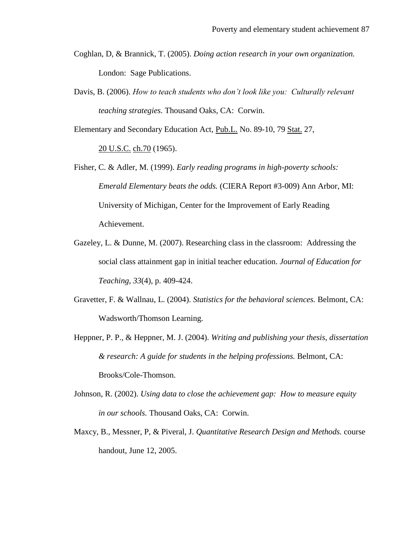- Coghlan, D, & Brannick, T. (2005). *Doing action research in your own organization.* London: Sage Publications.
- Davis, B. (2006). *How to teach students who don't look like you: Culturally relevant teaching strategies.* Thousand Oaks, CA: Corwin.

Elementary and Secondary Education Act, [Pub.L.](http://en.wikipedia.org/wiki/Public_law_(United_States)) No. 89-10, 79 [Stat.](http://en.wikipedia.org/wiki/United_States_Statutes_at_Large) 27,

[20 U.S.C.](http://en.wikipedia.org/wiki/Title_20_of_the_United_States_Code) [ch.70](http://www.law.cornell.edu/uscode/20/usc_sup_01_20_10_70.html) (1965).

Fisher, C. & Adler, M. (1999). *Early reading programs in high-poverty schools: Emerald Elementary beats the odds.* (CIERA Report #3-009) Ann Arbor, MI: University of Michigan, Center for the Improvement of Early Reading Achievement.

- Gazeley, L. & Dunne, M. (2007). Researching class in the classroom: Addressing the social class attainment gap in initial teacher education. *Journal of Education for Teaching, 33*(4), p. 409-424.
- Gravetter, F. & Wallnau, L. (2004). *Statistics for the behavioral sciences.* Belmont, CA: Wadsworth/Thomson Learning.
- Heppner, P. P., & Heppner, M. J. (2004). *Writing and publishing your thesis, dissertation & research: A guide for students in the helping professions.* Belmont, CA: Brooks/Cole-Thomson.
- Johnson, R. (2002). *Using data to close the achievement gap: How to measure equity in our schools.* Thousand Oaks, CA: Corwin.
- Maxcy, B., Messner, P, & Piveral, J. *Quantitative Research Design and Methods.* course handout, June 12, 2005.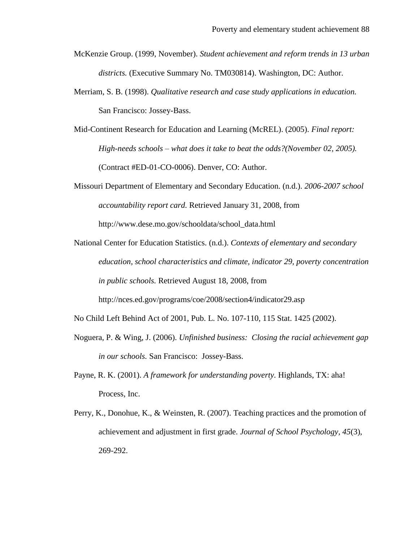- McKenzie Group. (1999, November). *Student achievement and reform trends in 13 urban districts.* (Executive Summary No. TM030814). Washington, DC: Author.
- Merriam, S. B. (1998). *Qualitative research and case study applications in education.* San Francisco: Jossey-Bass.
- Mid-Continent Research for Education and Learning (McREL). (2005). *Final report: High-needs schools – what does it take to beat the odds?(November 02, 2005).*  (Contract #ED-01-CO-0006). Denver, CO: Author.
- Missouri Department of Elementary and Secondary Education. (n.d.). *2006-2007 school accountability report card.* Retrieved January 31, 2008, from http://www.dese.mo.gov/schooldata/school\_data.html
- National Center for Education Statistics. (n.d.). *Contexts of elementary and secondary education, school characteristics and climate, indicator 29, poverty concentration in public schools.* Retrieved August 18, 2008, from http://nces.ed.gov/programs/coe/2008/section4/indicator29.asp
- No Child Left Behind Act of 2001, Pub. L. No. 107-110, 115 Stat. 1425 (2002).
- Noguera, P. & Wing, J. (2006). *Unfinished business: Closing the racial achievement gap in our schools.* San Francisco: Jossey-Bass.
- Payne, R. K. (2001). *A framework for understanding poverty.* Highlands, TX: aha! Process, Inc.
- Perry, K., Donohue, K., & Weinsten, R. (2007). Teaching practices and the promotion of achievement and adjustment in first grade. *Journal of School Psychology, 45*(3), 269-292.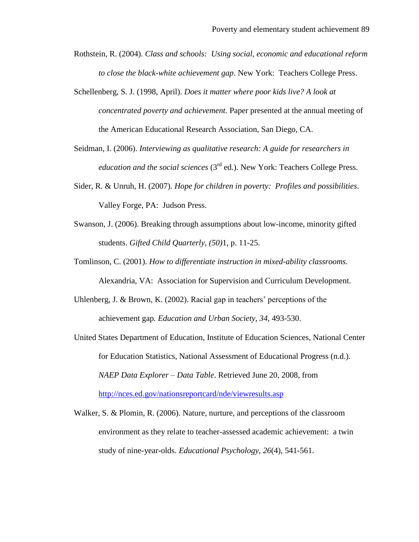- Rothstein, R. (2004). *Class and schools: Using social, economic and educational reform to close the black-white achievement gap*. New York: Teachers College Press.
- Schellenberg, S. J. (1998, April). *Does it matter where poor kids live? A look at concentrated poverty and achievement.* Paper presented at the annual meeting of the American Educational Research Association, San Diego, CA.
- Seidman, I. (2006). *Interviewing as qualitative research: A guide for researchers in education and the social sciences* (3<sup>rd</sup> ed.). New York: Teachers College Press.
- Sider, R. & Unruh, H. (2007). *Hope for children in poverty: Profiles and possibilities*. Valley Forge, PA: Judson Press.
- Swanson, J. (2006). Breaking through assumptions about low-income, minority gifted students. *Gifted Child Quarterly, (50)*1, p. 11-25.
- Tomlinson, C. (2001). *How to differentiate instruction in mixed-ability classrooms.* Alexandria, VA: Association for Supervision and Curriculum Development.
- Uhlenberg, J. & Brown, K.  $(2002)$ . Racial gap in teachers' perceptions of the achievement gap*. Education and Urban Society, 34,* 493-530.
- United States Department of Education, Institute of Education Sciences, National Center for Education Statistics, National Assessment of Educational Progress (n.d.). *NAEP Data Explorer – Data Table*. Retrieved June 20, 2008, from <http://nces.ed.gov/nationsreportcard/nde/viewresults.asp>
- Walker, S. & Plomin, R. (2006). Nature, nurture, and perceptions of the classroom environment as they relate to teacher-assessed academic achievement: a twin study of nine-year-olds. *Educational Psychology, 26*(4), 541-561.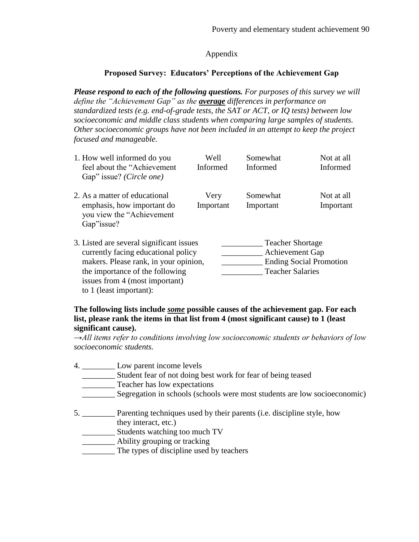# Appendix

# **Proposed Survey: Educators' Perceptions of the Achievement Gap**

*Please respond to each of the following questions. For purposes of this survey we will define the "Achievement Gap" as the average differences in performance on standardized tests (e.g. end-of-grade tests, the SAT or ACT, or IQ tests) between low socioeconomic and middle class students when comparing large samples of students. Other socioeconomic groups have not been included in an attempt to keep the project focused and manageable.*

| 1. How well informed do you<br>feel about the "Achievement"<br>Gap" issue? (Circle one)                                                                                                                                  | Well<br>Informed  | Somewhat<br><b>Informed</b>                                                                                    | Not at all<br><b>Informed</b> |  |
|--------------------------------------------------------------------------------------------------------------------------------------------------------------------------------------------------------------------------|-------------------|----------------------------------------------------------------------------------------------------------------|-------------------------------|--|
| 2. As a matter of educational<br>emphasis, how important do<br>you view the "Achievement"<br>Gap" issue?                                                                                                                 | Very<br>Important | Somewhat<br>Important                                                                                          | Not at all<br>Important       |  |
| 3. Listed are several significant issues<br>currently facing educational policy<br>makers. Please rank, in your opinion,<br>the importance of the following<br>issues from 4 (most important)<br>to 1 (least important): |                   | <b>Teacher Shortage</b><br><b>Achievement Gap</b><br><b>Ending Social Promotion</b><br><b>Teacher Salaries</b> |                               |  |

## **The following lists include** *some* **possible causes of the achievement gap. For each list, please rank the items in that list from 4 (most significant cause) to 1 (least significant cause).**

*→All items refer to conditions involving low socioeconomic students or behaviors of low socioeconomic students.*

- 4. \_\_\_\_\_\_\_\_ Low parent income levels
	- \_\_\_\_\_\_\_\_ Student fear of not doing best work for fear of being teased
	- Teacher has low expectations
	- \_\_\_\_\_\_\_\_ Segregation in schools (schools were most students are low socioeconomic)
- 5. \_\_\_\_\_\_\_\_ Parenting techniques used by their parents (i.e. discipline style, how they interact, etc.)
	- \_\_\_\_\_\_\_\_ Students watching too much TV
	- \_\_\_\_\_\_\_\_ Ability grouping or tracking
	- \_\_\_\_\_\_\_\_ The types of discipline used by teachers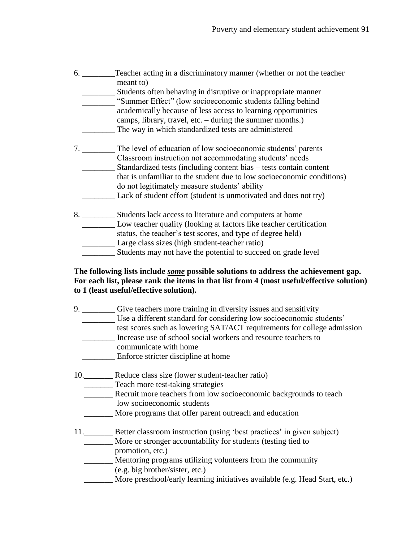| 6.     | Teacher acting in a discriminatory manner (whether or not the teacher<br>meant to) |
|--------|------------------------------------------------------------------------------------|
|        | Students often behaving in disruptive or inappropriate manner                      |
|        | "Summer Effect" (low socioeconomic students falling behind)                        |
|        | academically because of less access to learning opportunities –                    |
|        | camps, library, travel, etc. – during the summer months.)                          |
|        | The way in which standardized tests are administered                               |
| $\tau$ | The level of education of low socioeconomic students' parents                      |
|        | Classroom instruction not accommodating students' needs                            |
|        | Standardized tests (including content bias – tests contain content                 |
|        | that is unfamiliar to the student due to low socioeconomic conditions)             |
|        | do not legitimately measure students' ability                                      |
|        | Lack of student effort (student is unmotivated and does not try)                   |
| 8.     | Students lack access to literature and computers at home                           |
|        | Low teacher quality (looking at factors like teacher certification                 |
|        | status, the teacher's test scores, and type of degree held)                        |
|        | Large class sizes (high student-teacher ratio)                                     |

## Students may not have the potential to succeed on grade level

## **The following lists include** *some* **possible solutions to address the achievement gap. For each list, please rank the items in that list from 4 (most useful/effective solution) to 1 (least useful/effective solution).**

| 9. | Give teachers more training in diversity issues and sensitivity         |
|----|-------------------------------------------------------------------------|
|    | Use a different standard for considering low socioeconomic students'    |
|    | test scores such as lowering SAT/ACT requirements for college admission |
|    | Increase use of school social workers and resource teachers to          |
|    | communicate with home                                                   |
|    | Enforce stricter discipline at home                                     |
|    |                                                                         |

- 10.\_\_\_\_\_\_\_ Reduce class size (lower student-teacher ratio)
	- \_\_\_\_\_\_\_ Teach more test-taking strategies
	- \_\_\_\_\_\_\_ Recruit more teachers from low socioeconomic backgrounds to teach low socioeconomic students
	- \_\_\_\_\_\_\_ More programs that offer parent outreach and education

# 11.\_\_\_\_\_\_\_\_ Better classroom instruction (using 'best practices' in given subject)

- \_\_\_\_\_\_\_ More or stronger accountability for students (testing tied to promotion, etc.)
- \_\_\_\_\_\_\_ Mentoring programs utilizing volunteers from the community (e.g. big brother/sister, etc.)
- \_\_\_\_\_\_\_ More preschool/early learning initiatives available (e.g. Head Start, etc.)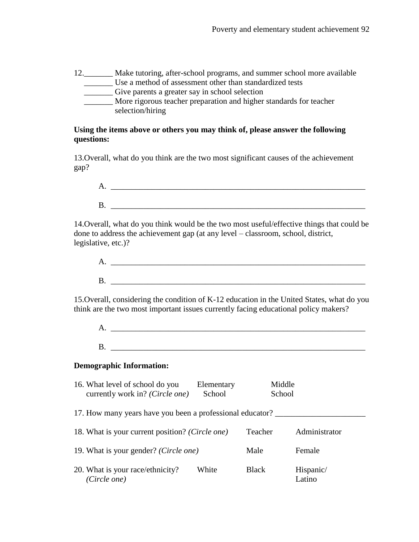12.\_\_\_\_\_\_\_ Make tutoring, after-school programs, and summer school more available \_\_\_\_\_\_\_ Use a method of assessment other than standardized tests \_\_\_\_\_\_\_ Give parents a greater say in school selection \_\_\_\_\_\_\_ More rigorous teacher preparation and higher standards for teacher

selection/hiring

## **Using the items above or others you may think of, please answer the following questions:**

13.Overall, what do you think are the two most significant causes of the achievement gap?

14.Overall, what do you think would be the two most useful/effective things that could be done to address the achievement gap (at any level – classroom, school, district, legislative, etc.)?

| Δ. |  |  |
|----|--|--|
|    |  |  |
| Г  |  |  |

15.Overall, considering the condition of K-12 education in the United States, what do you think are the two most important issues currently facing educational policy makers?

A. \_\_\_\_\_\_\_\_\_\_\_\_\_\_\_\_\_\_\_\_\_\_\_\_\_\_\_\_\_\_\_\_\_\_\_\_\_\_\_\_\_\_\_\_\_\_\_\_\_\_\_\_\_\_\_\_\_\_\_\_\_\_  $B.$ 

## **Demographic Information:**

| 16. What level of school do you                           | currently work in? (Circle one)                 | Elementary<br>School | Middle<br>School |                     |
|-----------------------------------------------------------|-------------------------------------------------|----------------------|------------------|---------------------|
| 17. How many years have you been a professional educator? |                                                 |                      |                  |                     |
|                                                           | 18. What is your current position? (Circle one) |                      | Teacher          | Administrator       |
|                                                           | 19. What is your gender? (Circle one)           |                      | Male             | Female              |
| 20. What is your race/ethnicity?<br>(Circle one)          |                                                 | White                | <b>Black</b>     | Hispanic/<br>Latino |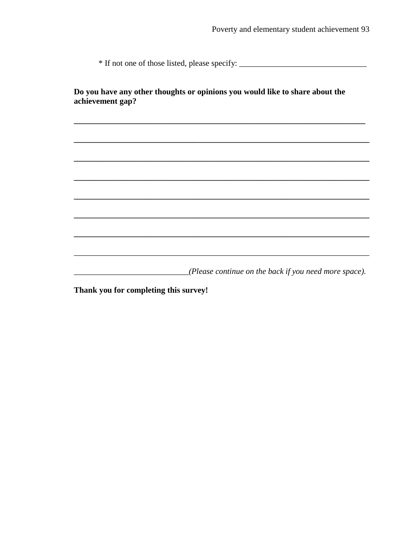\* If not one of those listed, please specify: \_\_\_\_\_\_\_\_\_\_\_\_\_\_\_\_\_\_\_\_\_\_\_\_\_\_\_\_\_\_\_\_\_\_

Do you have any other thoughts or opinions you would like to share about the achievement gap?

(Please continue on the back if you need more space).

Thank you for completing this survey!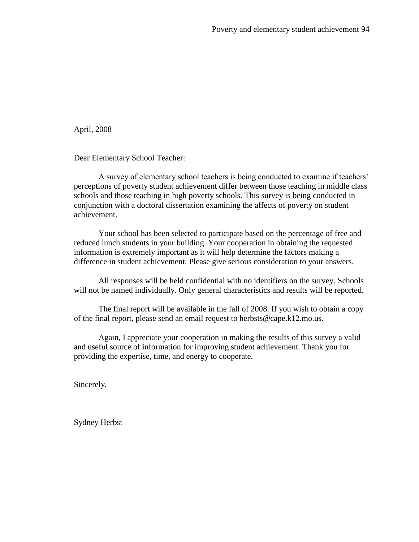April, 2008

Dear Elementary School Teacher:

A survey of elementary school teachers is being conducted to examine if teachers" perceptions of poverty student achievement differ between those teaching in middle class schools and those teaching in high poverty schools. This survey is being conducted in conjunction with a doctoral dissertation examining the affects of poverty on student achievement.

Your school has been selected to participate based on the percentage of free and reduced lunch students in your building. Your cooperation in obtaining the requested information is extremely important as it will help determine the factors making a difference in student achievement. Please give serious consideration to your answers.

All responses will be held confidential with no identifiers on the survey. Schools will not be named individually. Only general characteristics and results will be reported.

The final report will be available in the fall of 2008. If you wish to obtain a copy of the final report, please send an email request to herbsts@cape.k12.mo.us.

Again, I appreciate your cooperation in making the results of this survey a valid and useful source of information for improving student achievement. Thank you for providing the expertise, time, and energy to cooperate.

Sincerely,

Sydney Herbst